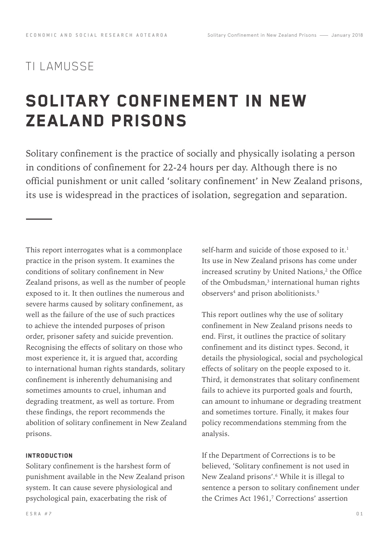# TI LAMUSSE

# Solitary Confinement in New Zealand Prisons

Solitary confinement is the practice of socially and physically isolating a person in conditions of confinement for 22-24 hours per day. Although there is no official punishment or unit called 'solitary confinement' in New Zealand prisons, its use is widespread in the practices of isolation, segregation and separation.

This report interrogates what is a commonplace practice in the prison system. It examines the conditions of solitary confinement in New Zealand prisons, as well as the number of people exposed to it. It then outlines the numerous and severe harms caused by solitary confinement, as well as the failure of the use of such practices to achieve the intended purposes of prison order, prisoner safety and suicide prevention. Recognising the effects of solitary on those who most experience it, it is argued that, according to international human rights standards, solitary confinement is inherently dehumanising and sometimes amounts to cruel, inhuman and degrading treatment, as well as torture. From these findings, the report recommends the abolition of solitary confinement in New Zealand prisons.

# **INTRODUCTION**

Solitary confinement is the harshest form of punishment available in the New Zealand prison system. It can cause severe physiological and psychological pain, exacerbating the risk of

ESRA #7

self-harm and suicide of those exposed to it.<sup>1</sup> Its use in New Zealand prisons has come under increased scrutiny by United Nations,<sup>2</sup> the Office of the Ombudsman, $<sup>3</sup>$  international human rights</sup> observers<sup>4</sup> and prison abolitionists.<sup>5</sup>

This report outlines why the use of solitary confinement in New Zealand prisons needs to end. First, it outlines the practice of solitary confinement and its distinct types. Second, it details the physiological, social and psychological effects of solitary on the people exposed to it. Third, it demonstrates that solitary confinement fails to achieve its purported goals and fourth, can amount to inhumane or degrading treatment and sometimes torture. Finally, it makes four policy recommendations stemming from the analysis.

If the Department of Corrections is to be believed, 'Solitary confinement is not used in New Zealand prisons'.<sup>6</sup> While it is illegal to sentence a person to solitary confinement under the Crimes Act  $1961<sup>7</sup>$  Corrections' assertion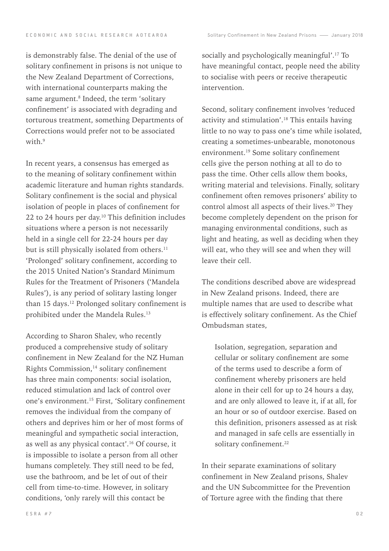is demonstrably false. The denial of the use of solitary confinement in prisons is not unique to the New Zealand Department of Corrections, with international counterparts making the same argument.<sup>8</sup> Indeed, the term 'solitary confinement' is associated with degrading and torturous treatment, something Departments of Corrections would prefer not to be associated with.<sup>9</sup>

In recent years, a consensus has emerged as to the meaning of solitary confinement within academic literature and human rights standards. Solitary confinement is the social and physical isolation of people in places of confinement for 22 to 24 hours per day.<sup>10</sup> This definition includes situations where a person is not necessarily held in a single cell for 22-24 hours per day but is still physically isolated from others.<sup>11</sup> 'Prolonged' solitary confinement, according to the 2015 United Nation's Standard Minimum Rules for the Treatment of Prisoners ('Mandela Rules'), is any period of solitary lasting longer than 15 days.<sup>12</sup> Prolonged solitary confinement is prohibited under the Mandela Rules.<sup>13</sup>

According to Sharon Shalev, who recently produced a comprehensive study of solitary confinement in New Zealand for the NZ Human Rights Commission,14 solitary confinement has three main components: social isolation, reduced stimulation and lack of control over one's environment.15 First, 'Solitary confinement removes the individual from the company of others and deprives him or her of most forms of meaningful and sympathetic social interaction, as well as any physical contact'.16 Of course, it is impossible to isolate a person from all other humans completely. They still need to be fed, use the bathroom, and be let of out of their cell from time-to-time. However, in solitary conditions, 'only rarely will this contact be

socially and psychologically meaningful'.<sup>17</sup> To have meaningful contact, people need the ability to socialise with peers or receive therapeutic intervention.

Second, solitary confinement involves 'reduced activity and stimulation'.<sup>18</sup> This entails having little to no way to pass one's time while isolated, creating a sometimes-unbearable, monotonous environment.19 Some solitary confinement cells give the person nothing at all to do to pass the time. Other cells allow them books, writing material and televisions. Finally, solitary confinement often removes prisoners' ability to control almost all aspects of their lives.<sup>20</sup> They become completely dependent on the prison for managing environmental conditions, such as light and heating, as well as deciding when they will eat, who they will see and when they will leave their cell.

The conditions described above are widespread in New Zealand prisons. Indeed, there are multiple names that are used to describe what is effectively solitary confinement. As the Chief Ombudsman states,

Isolation, segregation, separation and cellular or solitary confinement are some of the terms used to describe a form of confinement whereby prisoners are held alone in their cell for up to 24 hours a day, and are only allowed to leave it, if at all, for an hour or so of outdoor exercise. Based on this definition, prisoners assessed as at risk and managed in safe cells are essentially in solitary confinement.<sup>22</sup>

In their separate examinations of solitary confinement in New Zealand prisons, Shalev and the UN Subcommittee for the Prevention of Torture agree with the finding that there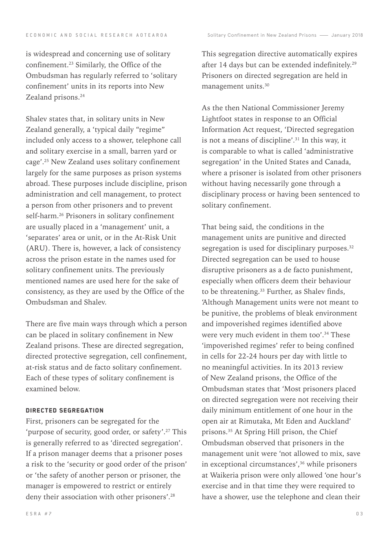is widespread and concerning use of solitary confinement.23 Similarly, the Office of the Ombudsman has regularly referred to 'solitary confinement' units in its reports into New Zealand prisons.<sup>24</sup>

Shalev states that, in solitary units in New Zealand generally, a 'typical daily "regime" included only access to a shower, telephone call and solitary exercise in a small, barren yard or cage'.25 New Zealand uses solitary confinement largely for the same purposes as prison systems abroad. These purposes include discipline, prison administration and cell management, to protect a person from other prisoners and to prevent self-harm.26 Prisoners in solitary confinement are usually placed in a 'management' unit, a 'separates' area or unit, or in the At-Risk Unit (ARU). There is, however, a lack of consistency across the prison estate in the names used for solitary confinement units. The previously mentioned names are used here for the sake of consistency, as they are used by the Office of the Ombudsman and Shalev.

There are five main ways through which a person can be placed in solitary confinement in New Zealand prisons. These are directed segregation, directed protective segregation, cell confinement, at-risk status and de facto solitary confinement. Each of these types of solitary confinement is examined below.

## Directed segregation

First, prisoners can be segregated for the 'purpose of security, good order, or safety'.<sup>27</sup> This is generally referred to as 'directed segregation'. If a prison manager deems that a prisoner poses a risk to the 'security or good order of the prison' or 'the safety of another person or prisoner, the manager is empowered to restrict or entirely deny their association with other prisoners'.<sup>28</sup>

This segregation directive automatically expires after 14 days but can be extended indefinitely.29 Prisoners on directed segregation are held in management units.30

As the then National Commissioner Jeremy Lightfoot states in response to an Official Information Act request, 'Directed segregation is not a means of discipline'.31 In this way, it is comparable to what is called 'administrative segregation' in the United States and Canada, where a prisoner is isolated from other prisoners without having necessarily gone through a disciplinary process or having been sentenced to solitary confinement.

That being said, the conditions in the management units are punitive and directed segregation is used for disciplinary purposes. $32$ Directed segregation can be used to house disruptive prisoners as a de facto punishment, especially when officers deem their behaviour to be threatening.<sup>33</sup> Further, as Shalev finds, 'Although Management units were not meant to be punitive, the problems of bleak environment and impoverished regimes identified above were very much evident in them too'.<sup>34</sup> These 'impoverished regimes' refer to being confined in cells for 22-24 hours per day with little to no meaningful activities. In its 2013 review of New Zealand prisons, the Office of the Ombudsman states that 'Most prisoners placed on directed segregation were not receiving their daily minimum entitlement of one hour in the open air at Rimutaka, Mt Eden and Auckland' prisons.35 At Spring Hill prison, the Chief Ombudsman observed that prisoners in the management unit were 'not allowed to mix, save in exceptional circumstances',<sup>36</sup> while prisoners at Waikeria prison were only allowed 'one hour's exercise and in that time they were required to have a shower, use the telephone and clean their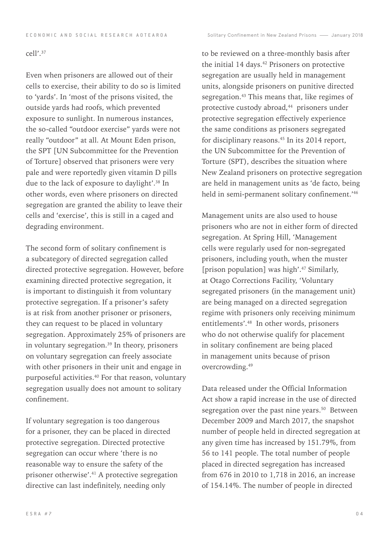#### cell'.37

Even when prisoners are allowed out of their cells to exercise, their ability to do so is limited to 'yards'. In 'most of the prisons visited, the outside yards had roofs, which prevented exposure to sunlight. In numerous instances, the so-called "outdoor exercise" yards were not really "outdoor" at all. At Mount Eden prison, the SPT [UN Subcommittee for the Prevention of Torture] observed that prisoners were very pale and were reportedly given vitamin D pills due to the lack of exposure to daylight'.38 In other words, even where prisoners on directed segregation are granted the ability to leave their cells and 'exercise', this is still in a caged and degrading environment.

The second form of solitary confinement is a subcategory of directed segregation called directed protective segregation. However, before examining directed protective segregation, it is important to distinguish it from voluntary protective segregation. If a prisoner's safety is at risk from another prisoner or prisoners, they can request to be placed in voluntary segregation. Approximately 25% of prisoners are in voluntary segregation.<sup>39</sup> In theory, prisoners on voluntary segregation can freely associate with other prisoners in their unit and engage in purposeful activities.<sup>40</sup> For that reason, voluntary segregation usually does not amount to solitary confinement.

If voluntary segregation is too dangerous for a prisoner, they can be placed in directed protective segregation. Directed protective segregation can occur where 'there is no reasonable way to ensure the safety of the prisoner otherwise'.<sup>41</sup> A protective segregation directive can last indefinitely, needing only

to be reviewed on a three-monthly basis after the initial 14 days.<sup>42</sup> Prisoners on protective segregation are usually held in management units, alongside prisoners on punitive directed segregation.<sup>43</sup> This means that, like regimes of protective custody abroad,<sup>44</sup> prisoners under protective segregation effectively experience the same conditions as prisoners segregated for disciplinary reasons.<sup>45</sup> In its 2014 report, the UN Subcommittee for the Prevention of Torture (SPT), describes the situation where New Zealand prisoners on protective segregation are held in management units as 'de facto, being held in semi-permanent solitary confinement.'46

Management units are also used to house prisoners who are not in either form of directed segregation. At Spring Hill, 'Management cells were regularly used for non-segregated prisoners, including youth, when the muster [prison population] was high'.<sup>47</sup> Similarly, at Otago Corrections Facility, 'Voluntary segregated prisoners (in the management unit) are being managed on a directed segregation regime with prisoners only receiving minimum entitlements'.48 In other words, prisoners who do not otherwise qualify for placement in solitary confinement are being placed in management units because of prison overcrowding.49

Data released under the Official Information Act show a rapid increase in the use of directed segregation over the past nine years.<sup>50</sup> Between December 2009 and March 2017, the snapshot number of people held in directed segregation at any given time has increased by 151.79%, from 56 to 141 people. The total number of people placed in directed segregation has increased from 676 in 2010 to 1,718 in 2016, an increase of 154.14%. The number of people in directed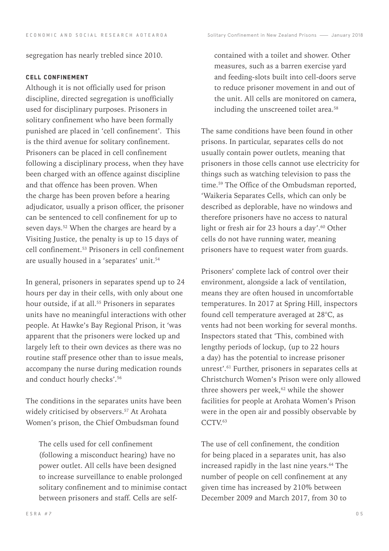segregation has nearly trebled since 2010.

# Cell confinement

Although it is not officially used for prison discipline, directed segregation is unofficially used for disciplinary purposes. Prisoners in solitary confinement who have been formally punished are placed in 'cell confinement'. This is the third avenue for solitary confinement. Prisoners can be placed in cell confinement following a disciplinary process, when they have been charged with an offence against discipline and that offence has been proven. When the charge has been proven before a hearing adjudicator, usually a prison officer, the prisoner can be sentenced to cell confinement for up to seven days.<sup>52</sup> When the charges are heard by a Visiting Justice, the penalty is up to 15 days of cell confinement.53 Prisoners in cell confinement are usually housed in a 'separates' unit.<sup>54</sup>

In general, prisoners in separates spend up to 24 hours per day in their cells, with only about one hour outside, if at all.<sup>55</sup> Prisoners in separates units have no meaningful interactions with other people. At Hawke's Bay Regional Prison, it 'was apparent that the prisoners were locked up and largely left to their own devices as there was no routine staff presence other than to issue meals, accompany the nurse during medication rounds and conduct hourly checks'.56

The conditions in the separates units have been widely criticised by observers.<sup>57</sup> At Arohata Women's prison, the Chief Ombudsman found

The cells used for cell confinement (following a misconduct hearing) have no power outlet. All cells have been designed to increase surveillance to enable prolonged solitary confinement and to minimise contact between prisoners and staff. Cells are selfcontained with a toilet and shower. Other measures, such as a barren exercise yard and feeding-slots built into cell-doors serve to reduce prisoner movement in and out of the unit. All cells are monitored on camera, including the unscreened toilet area.<sup>58</sup>

The same conditions have been found in other prisons. In particular, separates cells do not usually contain power outlets, meaning that prisoners in those cells cannot use electricity for things such as watching television to pass the time.<sup>59</sup> The Office of the Ombudsman reported, 'Waikeria Separates Cells, which can only be described as deplorable, have no windows and therefore prisoners have no access to natural light or fresh air for 23 hours a day'.<sup>60</sup> Other cells do not have running water, meaning prisoners have to request water from guards.

Prisoners' complete lack of control over their environment, alongside a lack of ventilation, means they are often housed in uncomfortable temperatures. In 2017 at Spring Hill, inspectors found cell temperature averaged at 28°C, as vents had not been working for several months. Inspectors stated that 'This, combined with lengthy periods of lockup, (up to 22 hours a day) has the potential to increase prisoner unrest'.61 Further, prisoners in separates cells at Christchurch Women's Prison were only allowed three showers per week,<sup>62</sup> while the shower facilities for people at Arohata Women's Prison were in the open air and possibly observable by CCTV.<sup>63</sup>

The use of cell confinement, the condition for being placed in a separates unit, has also increased rapidly in the last nine years.<sup>64</sup> The number of people on cell confinement at any given time has increased by 210% between December 2009 and March 2017, from 30 to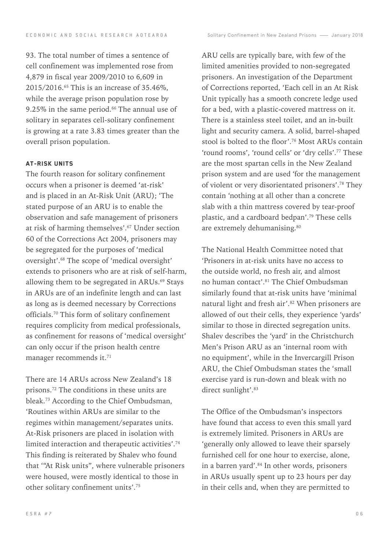93. The total number of times a sentence of cell confinement was implemented rose from 4,879 in fiscal year 2009/2010 to 6,609 in 2015/2016.65 This is an increase of 35.46%, while the average prison population rose by 9.25% in the same period.<sup>66</sup> The annual use of solitary in separates cell-solitary confinement is growing at a rate 3.83 times greater than the overall prison population.

# At-Risk Units

The fourth reason for solitary confinement occurs when a prisoner is deemed 'at-risk' and is placed in an At-Risk Unit (ARU); 'The stated purpose of an ARU is to enable the observation and safe management of prisoners at risk of harming themselves'.<sup>67</sup> Under section 60 of the Corrections Act 2004, prisoners may be segregated for the purposes of 'medical oversight'.68 The scope of 'medical oversight' extends to prisoners who are at risk of self-harm, allowing them to be segregated in ARUs.<sup>69</sup> Stays in ARUs are of an indefinite length and can last as long as is deemed necessary by Corrections officials.70 This form of solitary confinement requires complicity from medical professionals, as confinement for reasons of 'medical oversight' can only occur if the prison health centre manager recommends it.<sup>71</sup>

There are 14 ARUs across New Zealand's 18 prisons.72 The conditions in these units are bleak.73 According to the Chief Ombudsman, 'Routines within ARUs are similar to the regimes within management/separates units. At-Risk prisoners are placed in isolation with limited interaction and therapeutic activities'.74 This finding is reiterated by Shalev who found that '"At Risk units", where vulnerable prisoners were housed, were mostly identical to those in other solitary confinement units'.75

ARU cells are typically bare, with few of the limited amenities provided to non-segregated prisoners. An investigation of the Department of Corrections reported, 'Each cell in an At Risk Unit typically has a smooth concrete ledge used for a bed, with a plastic-covered mattress on it. There is a stainless steel toilet, and an in-built light and security camera. A solid, barrel-shaped stool is bolted to the floor'.76 Most ARUs contain 'round rooms', 'round cells' or 'dry cells'.77 These are the most spartan cells in the New Zealand prison system and are used 'for the management of violent or very disorientated prisoners'.78 They contain 'nothing at all other than a concrete slab with a thin mattress covered by tear-proof plastic, and a cardboard bedpan'.79 These cells are extremely dehumanising.<sup>80</sup>

The National Health Committee noted that 'Prisoners in at-risk units have no access to the outside world, no fresh air, and almost no human contact'.81 The Chief Ombudsman similarly found that at-risk units have 'minimal natural light and fresh air'.<sup>82</sup> When prisoners are allowed of out their cells, they experience 'yards' similar to those in directed segregation units. Shalev describes the 'yard' in the Christchurch Men's Prison ARU as an 'internal room with no equipment', while in the Invercargill Prison ARU, the Chief Ombudsman states the 'small exercise yard is run-down and bleak with no direct sunlight'.<sup>83</sup>

The Office of the Ombudsman's inspectors have found that access to even this small yard is extremely limited. Prisoners in ARUs are 'generally only allowed to leave their sparsely furnished cell for one hour to exercise, alone, in a barren yard'.<sup>84</sup> In other words, prisoners in ARUs usually spent up to 23 hours per day in their cells and, when they are permitted to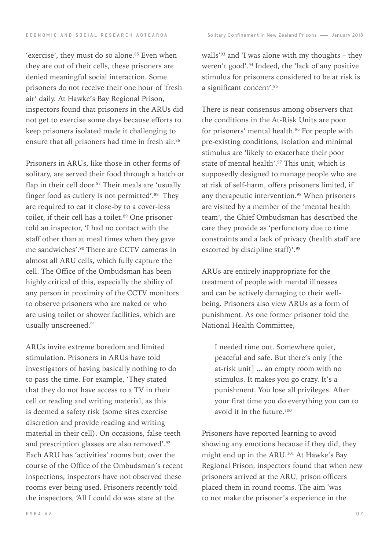E C O N O M I C A N D S O C I A L R E S E A R C H A O T E A R O A C A C C A CONTRIGUITY Confinement in New Zealand Prisons - January 2018

'exercise', they must do so alone.<sup>85</sup> Even when they are out of their cells, these prisoners are denied meaningful social interaction. Some prisoners do not receive their one hour of 'fresh air' daily. At Hawke's Bay Regional Prison, inspectors found that prisoners in the ARUs did not get to exercise some days because efforts to keep prisoners isolated made it challenging to ensure that all prisoners had time in fresh air.<sup>86</sup>

Prisoners in ARUs, like those in other forms of solitary, are served their food through a hatch or flap in their cell door. $87$  Their meals are 'usually finger food as cutlery is not permitted'.<sup>88</sup> They are required to eat it close-by to a cover-less toilet, if their cell has a toilet.<sup>89</sup> One prisoner told an inspector, 'I had no contact with the staff other than at meal times when they gave me sandwiches'.90 There are CCTV cameras in almost all ARU cells, which fully capture the cell. The Office of the Ombudsman has been highly critical of this, especially the ability of any person in proximity of the CCTV monitors to observe prisoners who are naked or who are using toilet or shower facilities, which are usually unscreened.91

ARUs invite extreme boredom and limited stimulation. Prisoners in ARUs have told investigators of having basically nothing to do to pass the time. For example, 'They stated that they do not have access to a TV in their cell or reading and writing material, as this is deemed a safety risk (some sites exercise discretion and provide reading and writing material in their cell). On occasions, false teeth and prescription glasses are also removed'.92 Each ARU has 'activities' rooms but, over the course of the Office of the Ombudsman's recent inspections, inspectors have not observed these rooms ever being used. Prisoners recently told the inspectors, 'All I could do was stare at the

walls<sup>'93</sup> and 'I was alone with my thoughts – they weren't good'.94 Indeed, the 'lack of any positive stimulus for prisoners considered to be at risk is a significant concern'.95

There is near consensus among observers that the conditions in the At-Risk Units are poor for prisoners' mental health.<sup>96</sup> For people with pre-existing conditions, isolation and minimal stimulus are 'likely to exacerbate their poor state of mental health'.<sup>97</sup> This unit, which is supposedly designed to manage people who are at risk of self-harm, offers prisoners limited, if any therapeutic intervention.<sup>98</sup> When prisoners are visited by a member of the 'mental health team', the Chief Ombudsman has described the care they provide as 'perfunctory due to time constraints and a lack of privacy (health staff are escorted by discipline staff)'.99

ARUs are entirely inappropriate for the treatment of people with mental illnesses and can be actively damaging to their wellbeing. Prisoners also view ARUs as a form of punishment. As one former prisoner told the National Health Committee,

I needed time out. Somewhere quiet, peaceful and safe. But there's only [the at-risk unit] ... an empty room with no stimulus. It makes you go crazy. It's a punishment. You lose all privileges. After your first time you do everything you can to avoid it in the future.100

Prisoners have reported learning to avoid showing any emotions because if they did, they might end up in the ARU.<sup>101</sup> At Hawke's Bay Regional Prison, inspectors found that when new prisoners arrived at the ARU, prison officers placed them in round rooms. The aim 'was to not make the prisoner's experience in the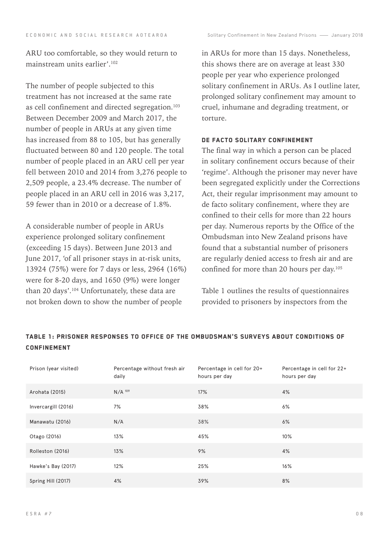ARU too comfortable, so they would return to mainstream units earlier'.102

The number of people subjected to this treatment has not increased at the same rate as cell confinement and directed segregation.<sup>103</sup> Between December 2009 and March 2017, the number of people in ARUs at any given time has increased from 88 to 105, but has generally fluctuated between 80 and 120 people. The total number of people placed in an ARU cell per year fell between 2010 and 2014 from 3,276 people to 2,509 people, a 23.4% decrease. The number of people placed in an ARU cell in 2016 was 3,217, 59 fewer than in 2010 or a decrease of 1.8%.

A considerable number of people in ARUs experience prolonged solitary confinement (exceeding 15 days). Between June 2013 and June 2017, 'of all prisoner stays in at-risk units, 13924 (75%) were for 7 days or less, 2964 (16%) were for 8-20 days, and 1650 (9%) were longer than 20 days'.<sup>104</sup> Unfortunately, these data are not broken down to show the number of people

in ARUs for more than 15 days. Nonetheless, this shows there are on average at least 330 people per year who experience prolonged solitary confinement in ARUs. As I outline later, prolonged solitary confinement may amount to cruel, inhumane and degrading treatment, or torture.

#### DE FACTO SOLITARY CONFINEMENT

The final way in which a person can be placed in solitary confinement occurs because of their 'regime'. Although the prisoner may never have been segregated explicitly under the Corrections Act, their regular imprisonment may amount to de facto solitary confinement, where they are confined to their cells for more than 22 hours per day. Numerous reports by the Office of the Ombudsman into New Zealand prisons have found that a substantial number of prisoners are regularly denied access to fresh air and are confined for more than 20 hours per day.<sup>105</sup>

Table 1 outlines the results of questionnaires provided to prisoners by inspectors from the

| Prison (year visited) | Percentage without fresh air<br>daily | Percentage in cell for 20+<br>hours per day | Percentage in cell for 22+<br>hours per day |
|-----------------------|---------------------------------------|---------------------------------------------|---------------------------------------------|
| Arohata (2015)        | $N/A$ 109                             | 17%                                         | 4%                                          |
| Invercargill (2016)   | 7%                                    | 38%                                         | 6%                                          |
| Manawatu (2016)       | N/A                                   | 38%                                         | 6%                                          |
| Otago (2016)          | 13%                                   | 45%                                         | 10%                                         |
| Rolleston (2016)      | 13%                                   | 9%                                          | 4%                                          |
| Hawke's Bay (2017)    | 12%                                   | 25%                                         | 16%                                         |
| Spring Hill (2017)    | 4%                                    | 39%                                         | 8%                                          |

# Table 1: Prisoner responses to Office of the Ombudsman's surveys about conditions of **CONFINEMENT**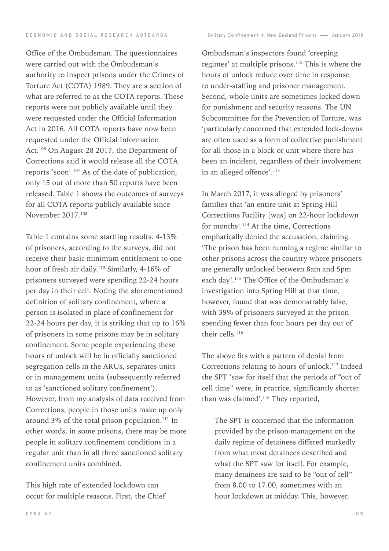Office of the Ombudsman. The questionnaires were carried out with the Ombudsman's authority to inspect prisons under the Crimes of Torture Act (COTA) 1989. They are a section of what are referred to as the COTA reports. These reports were not publicly available until they were requested under the Official Information Act in 2016. All COTA reports have now been requested under the Official Information Act.<sup>106</sup> On August 28 2017, the Department of Corrections said it would release all the COTA reports 'soon'.107 As of the date of publication, only 15 out of more than 50 reports have been released. Table 1 shows the outcomes of surveys for all COTA reports publicly available since November 2017.108

Table 1 contains some startling results. 4-13% of prisoners, according to the surveys, did not receive their basic minimum entitlement to one hour of fresh air daily.110 Similarly, 4-16% of prisoners surveyed were spending 22-24 hours per day in their cell. Noting the aforementioned definition of solitary confinement, where a person is isolated in place of confinement for 22-24 hours per day, it is striking that up to 16% of prisoners in some prisons may be in solitary confinement. Some people experiencing these hours of unlock will be in officially sanctioned segregation cells in the ARUs, separates units or in management units (subsequently referred to as 'sanctioned solitary confinement'). However, from my analysis of data received from Corrections, people in those units make up only around 3% of the total prison population.<sup>111</sup> In other words, in some prisons, there may be more people in solitary confinement conditions in a regular unit than in all three sanctioned solitary confinement units combined.

This high rate of extended lockdown can occur for multiple reasons. First, the Chief

Ombudsman's inspectors found 'creeping regimes' at multiple prisons.112 This is where the hours of unlock reduce over time in response to under-staffing and prisoner management. Second, whole units are sometimes locked down for punishment and security reasons. The UN Subcommittee for the Prevention of Torture, was 'particularly concerned that extended lock-downs are often used as a form of collective punishment for all those in a block or unit where there has been an incident, regardless of their involvement in an alleged offence'.<sup>113</sup>

In March 2017, it was alleged by prisoners' families that 'an entire unit at Spring Hill Corrections Facility [was] on 22-hour lockdown for months'.114 At the time, Corrections emphatically denied the accusation, claiming 'The prison has been running a regime similar to other prisons across the country where prisoners are generally unlocked between 8am and 5pm each day'.115 The Office of the Ombudsman's investigation into Spring Hill at that time, however, found that was demonstrably false, with 39% of prisoners surveyed at the prison spending fewer than four hours per day out of their cells.116

The above fits with a pattern of denial from Corrections relating to hours of unlock.117 Indeed the SPT 'saw for itself that the periods of "out of cell time" were, in practice, significantly shorter than was claimed'.118 They reported,

The SPT is concerned that the information provided by the prison management on the daily regime of detainees differed markedly from what most detainees described and what the SPT saw for itself. For example, many detainees are said to be "out of cell" from 8.00 to 17.00, sometimes with an hour lockdown at midday. This, however,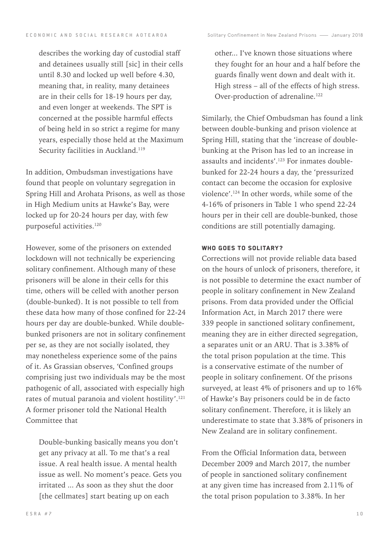describes the working day of custodial staff and detainees usually still [sic] in their cells until 8.30 and locked up well before 4.30, meaning that, in reality, many detainees are in their cells for 18-19 hours per day, and even longer at weekends. The SPT is concerned at the possible harmful effects of being held in so strict a regime for many years, especially those held at the Maximum Security facilities in Auckland.<sup>119</sup>

In addition, Ombudsman investigations have found that people on voluntary segregation in Spring Hill and Arohata Prisons, as well as those in High Medium units at Hawke's Bay, were locked up for 20-24 hours per day, with few purposeful activities.<sup>120</sup>

However, some of the prisoners on extended lockdown will not technically be experiencing solitary confinement. Although many of these prisoners will be alone in their cells for this time, others will be celled with another person (double-bunked). It is not possible to tell from these data how many of those confined for 22-24 hours per day are double-bunked. While doublebunked prisoners are not in solitary confinement per se, as they are not socially isolated, they may nonetheless experience some of the pains of it. As Grassian observes, 'Confined groups comprising just two individuals may be the most pathogenic of all, associated with especially high rates of mutual paranoia and violent hostility'.<sup>121</sup> A former prisoner told the National Health Committee that

Double-bunking basically means you don't get any privacy at all. To me that's a real issue. A real health issue. A mental health issue as well. No moment's peace. Gets you irritated ... As soon as they shut the door [the cellmates] start beating up on each

other... I've known those situations where they fought for an hour and a half before the guards finally went down and dealt with it. High stress – all of the effects of high stress. Over-production of adrenaline.<sup>122</sup>

Similarly, the Chief Ombudsman has found a link between double-bunking and prison violence at Spring Hill, stating that the 'increase of doublebunking at the Prison has led to an increase in assaults and incidents'.123 For inmates doublebunked for 22-24 hours a day, the 'pressurized contact can become the occasion for explosive violence'.124 In other words, while some of the 4-16% of prisoners in Table 1 who spend 22-24 hours per in their cell are double-bunked, those conditions are still potentially damaging.

#### WHO GOES TO SOLITARY?

Corrections will not provide reliable data based on the hours of unlock of prisoners, therefore, it is not possible to determine the exact number of people in solitary confinement in New Zealand prisons. From data provided under the Official Information Act, in March 2017 there were 339 people in sanctioned solitary confinement, meaning they are in either directed segregation, a separates unit or an ARU. That is 3.38% of the total prison population at the time. This is a conservative estimate of the number of people in solitary confinement. Of the prisons surveyed, at least 4% of prisoners and up to 16% of Hawke's Bay prisoners could be in de facto solitary confinement. Therefore, it is likely an underestimate to state that 3.38% of prisoners in New Zealand are in solitary confinement.

From the Official Information data, between December 2009 and March 2017, the number of people in sanctioned solitary confinement at any given time has increased from 2.11% of the total prison population to 3.38%. In her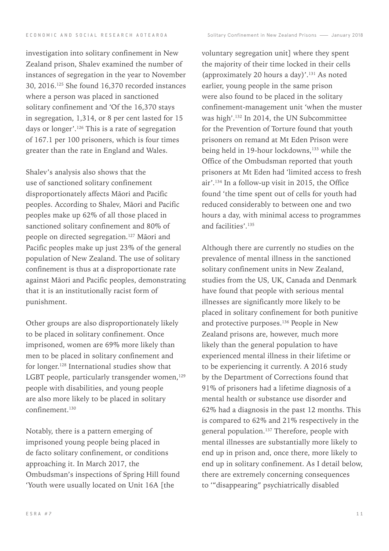investigation into solitary confinement in New Zealand prison, Shalev examined the number of instances of segregation in the year to November 30, 2016.125 She found 16,370 recorded instances where a person was placed in sanctioned solitary confinement and 'Of the 16,370 stays in segregation, 1,314, or 8 per cent lasted for 15 days or longer'.126 This is a rate of segregation of 167.1 per 100 prisoners, which is four times greater than the rate in England and Wales.

Shalev's analysis also shows that the use of sanctioned solitary confinement disproportionately affects Māori and Pacific peoples. According to Shalev, Māori and Pacific peoples make up 62% of all those placed in sanctioned solitary confinement and 80% of people on directed segregation.127 Māori and Pacific peoples make up just 23% of the general population of New Zealand. The use of solitary confinement is thus at a disproportionate rate against Māori and Pacific peoples, demonstrating that it is an institutionally racist form of punishment.

Other groups are also disproportionately likely to be placed in solitary confinement. Once imprisoned, women are 69% more likely than men to be placed in solitary confinement and for longer.128 International studies show that LGBT people, particularly transgender women,<sup>129</sup> people with disabilities, and young people are also more likely to be placed in solitary confinement.130

Notably, there is a pattern emerging of imprisoned young people being placed in de facto solitary confinement, or conditions approaching it. In March 2017, the Ombudsman's inspections of Spring Hill found 'Youth were usually located on Unit 16A [the

voluntary segregation unit] where they spent the majority of their time locked in their cells (approximately 20 hours a day)'.131 As noted earlier, young people in the same prison were also found to be placed in the solitary confinement-management unit 'when the muster was high'.132 In 2014, the UN Subcommittee for the Prevention of Torture found that youth prisoners on remand at Mt Eden Prison were being held in 19-hour lockdowns,<sup>133</sup> while the Office of the Ombudsman reported that youth prisoners at Mt Eden had 'limited access to fresh air'.134 In a follow-up visit in 2015, the Office found 'the time spent out of cells for youth had reduced considerably to between one and two hours a day, with minimal access to programmes and facilities'.135

Although there are currently no studies on the prevalence of mental illness in the sanctioned solitary confinement units in New Zealand, studies from the US, UK, Canada and Denmark have found that people with serious mental illnesses are significantly more likely to be placed in solitary confinement for both punitive and protective purposes.<sup>136</sup> People in New Zealand prisons are, however, much more likely than the general population to have experienced mental illness in their lifetime or to be experiencing it currently. A 2016 study by the Department of Corrections found that 91% of prisoners had a lifetime diagnosis of a mental health or substance use disorder and 62% had a diagnosis in the past 12 months. This is compared to 62% and 21% respectively in the general population.<sup>137</sup> Therefore, people with mental illnesses are substantially more likely to end up in prison and, once there, more likely to end up in solitary confinement. As I detail below, there are extremely concerning consequences to '"disappearing" psychiatrically disabled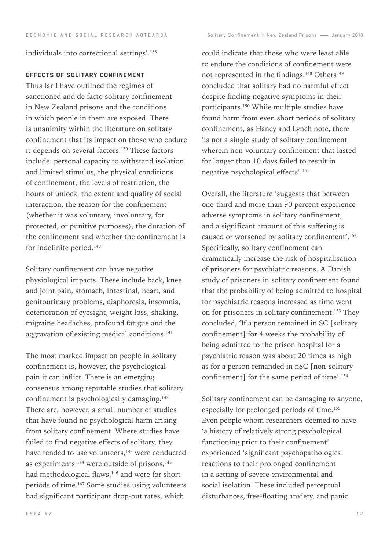individuals into correctional settings'.138

# Effects of solitary confinement

Thus far I have outlined the regimes of sanctioned and de facto solitary confinement in New Zealand prisons and the conditions in which people in them are exposed. There is unanimity within the literature on solitary confinement that its impact on those who endure it depends on several factors.<sup>139</sup> These factors include: personal capacity to withstand isolation and limited stimulus, the physical conditions of confinement, the levels of restriction, the hours of unlock, the extent and quality of social interaction, the reason for the confinement (whether it was voluntary, involuntary, for protected, or punitive purposes), the duration of the confinement and whether the confinement is for indefinite period.<sup>140</sup>

Solitary confinement can have negative physiological impacts. These include back, knee and joint pain, stomach, intestinal, heart, and genitourinary problems, diaphoresis, insomnia, deterioration of eyesight, weight loss, shaking, migraine headaches, profound fatigue and the aggravation of existing medical conditions.<sup>141</sup>

The most marked impact on people in solitary confinement is, however, the psychological pain it can inflict. There is an emerging consensus among reputable studies that solitary confinement is psychologically damaging.<sup>142</sup> There are, however, a small number of studies that have found no psychological harm arising from solitary confinement. Where studies have failed to find negative effects of solitary, they have tended to use volunteers,<sup>143</sup> were conducted as experiments,  $144$  were outside of prisons,  $145$ had methodological flaws,<sup>146</sup> and were for short periods of time.147 Some studies using volunteers had significant participant drop-out rates, which

could indicate that those who were least able to endure the conditions of confinement were not represented in the findings.<sup>148</sup> Others<sup>149</sup> concluded that solitary had no harmful effect despite finding negative symptoms in their participants.150 While multiple studies have found harm from even short periods of solitary confinement, as Haney and Lynch note, there 'is not a single study of solitary confinement wherein non-voluntary confinement that lasted for longer than 10 days failed to result in negative psychological effects'.151

Overall, the literature 'suggests that between one-third and more than 90 percent experience adverse symptoms in solitary confinement, and a significant amount of this suffering is caused or worsened by solitary confinement'.152 Specifically, solitary confinement can dramatically increase the risk of hospitalisation of prisoners for psychiatric reasons. A Danish study of prisoners in solitary confinement found that the probability of being admitted to hospital for psychiatric reasons increased as time went on for prisoners in solitary confinement.<sup>153</sup> They concluded, 'If a person remained in SC [solitary confinement] for 4 weeks the probability of being admitted to the prison hospital for a psychiatric reason was about 20 times as high as for a person remanded in nSC [non-solitary confinement] for the same period of time'.154

Solitary confinement can be damaging to anyone, especially for prolonged periods of time.<sup>155</sup> Even people whom researchers deemed to have 'a history of relatively strong psychological functioning prior to their confinement' experienced 'significant psychopathological reactions to their prolonged confinement in a setting of severe environmental and social isolation. These included perceptual disturbances, free-floating anxiety, and panic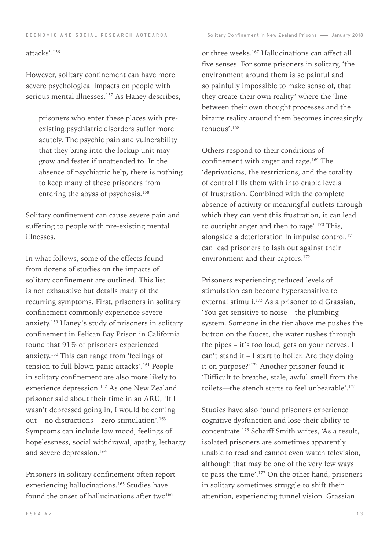#### attacks'.156

However, solitary confinement can have more severe psychological impacts on people with serious mental illnesses.<sup>157</sup> As Haney describes,

prisoners who enter these places with preexisting psychiatric disorders suffer more acutely. The psychic pain and vulnerability that they bring into the lockup unit may grow and fester if unattended to. In the absence of psychiatric help, there is nothing to keep many of these prisoners from entering the abyss of psychosis.158

Solitary confinement can cause severe pain and suffering to people with pre-existing mental illnesses.

In what follows, some of the effects found from dozens of studies on the impacts of solitary confinement are outlined. This list is not exhaustive but details many of the recurring symptoms. First, prisoners in solitary confinement commonly experience severe anxiety.159 Haney's study of prisoners in solitary confinement in Pelican Bay Prison in California found that 91% of prisoners experienced anxiety.160 This can range from 'feelings of tension to full blown panic attacks'.<sup>161</sup> People in solitary confinement are also more likely to experience depression.162 As one New Zealand prisoner said about their time in an ARU, 'If I wasn't depressed going in, I would be coming out – no distractions – zero stimulation'.<sup>163</sup> Symptoms can include low mood, feelings of hopelessness, social withdrawal, apathy, lethargy and severe depression.<sup>164</sup>

Prisoners in solitary confinement often report experiencing hallucinations.<sup>165</sup> Studies have found the onset of hallucinations after two $166$ 

or three weeks.167 Hallucinations can affect all five senses. For some prisoners in solitary, 'the environment around them is so painful and so painfully impossible to make sense of, that they create their own reality' where the 'line between their own thought processes and the bizarre reality around them becomes increasingly tenuous'.168

Others respond to their conditions of confinement with anger and rage.<sup>169</sup> The 'deprivations, the restrictions, and the totality of control fills them with intolerable levels of frustration. Combined with the complete absence of activity or meaningful outlets through which they can vent this frustration, it can lead to outright anger and then to rage'.170 This, alongside a deterioration in impulse control, $171$ can lead prisoners to lash out against their environment and their captors.<sup>172</sup>

Prisoners experiencing reduced levels of stimulation can become hypersensitive to external stimuli.<sup>173</sup> As a prisoner told Grassian, 'You get sensitive to noise – the plumbing system. Someone in the tier above me pushes the button on the faucet, the water rushes through the pipes – it's too loud, gets on your nerves. I can't stand it – I start to holler. Are they doing it on purpose?'174 Another prisoner found it 'Difficult to breathe, stale, awful smell from the toilets—the stench starts to feel unbearable'.175

Studies have also found prisoners experience cognitive dysfunction and lose their ability to concentrate.176 Scharff Smith writes, 'As a result, isolated prisoners are sometimes apparently unable to read and cannot even watch television, although that may be one of the very few ways to pass the time'.<sup>177</sup> On the other hand, prisoners in solitary sometimes struggle to shift their attention, experiencing tunnel vision. Grassian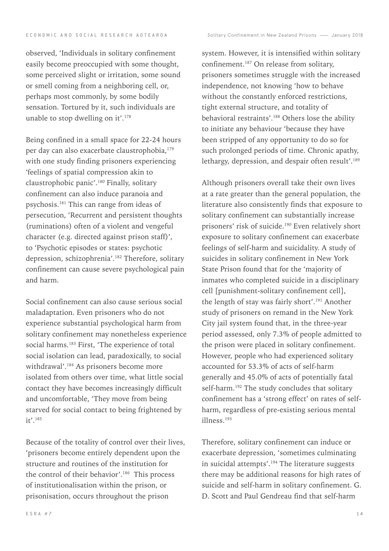observed, 'Individuals in solitary confinement easily become preoccupied with some thought, some perceived slight or irritation, some sound or smell coming from a neighboring cell, or, perhaps most commonly, by some bodily sensation. Tortured by it, such individuals are unable to stop dwelling on it'.<sup>178</sup>

Being confined in a small space for 22-24 hours per day can also exacerbate claustrophobia, 179 with one study finding prisoners experiencing 'feelings of spatial compression akin to claustrophobic panic'.180 Finally, solitary confinement can also induce paranoia and psychosis.181 This can range from ideas of persecution, 'Recurrent and persistent thoughts (ruminations) often of a violent and vengeful character (e.g. directed against prison staff)', to 'Psychotic episodes or states: psychotic depression, schizophrenia'.182 Therefore, solitary confinement can cause severe psychological pain and harm.

Social confinement can also cause serious social maladaptation. Even prisoners who do not experience substantial psychological harm from solitary confinement may nonetheless experience social harms.<sup>183</sup> First, 'The experience of total social isolation can lead, paradoxically, to social withdrawal'.184 As prisoners become more isolated from others over time, what little social contact they have becomes increasingly difficult and uncomfortable, 'They move from being starved for social contact to being frightened by it'.185

Because of the totality of control over their lives, 'prisoners become entirely dependent upon the structure and routines of the institution for the control of their behavior'.186 This process of institutionalisation within the prison, or prisonisation, occurs throughout the prison

system. However, it is intensified within solitary confinement.187 On release from solitary, prisoners sometimes struggle with the increased independence, not knowing 'how to behave without the constantly enforced restrictions, tight external structure, and totality of behavioral restraints'.188 Others lose the ability to initiate any behaviour 'because they have been stripped of any opportunity to do so for such prolonged periods of time. Chronic apathy, lethargy, depression, and despair often result'.<sup>189</sup>

Although prisoners overall take their own lives at a rate greater than the general population, the literature also consistently finds that exposure to solitary confinement can substantially increase prisoners' risk of suicide.<sup>190</sup> Even relatively short exposure to solitary confinement can exacerbate feelings of self-harm and suicidality. A study of suicides in solitary confinement in New York State Prison found that for the 'majority of inmates who completed suicide in a disciplinary cell [punishment-solitary confinement cell], the length of stay was fairly short'.<sup>191</sup> Another study of prisoners on remand in the New York City jail system found that, in the three-year period assessed, only 7.3% of people admitted to the prison were placed in solitary confinement. However, people who had experienced solitary accounted for 53.3% of acts of self-harm generally and 45.0% of acts of potentially fatal self-harm.<sup>192</sup> The study concludes that solitary confinement has a 'strong effect' on rates of selfharm, regardless of pre-existing serious mental illness.193

Therefore, solitary confinement can induce or exacerbate depression, 'sometimes culminating in suicidal attempts'.<sup>194</sup> The literature suggests there may be additional reasons for high rates of suicide and self-harm in solitary confinement. G. D. Scott and Paul Gendreau find that self-harm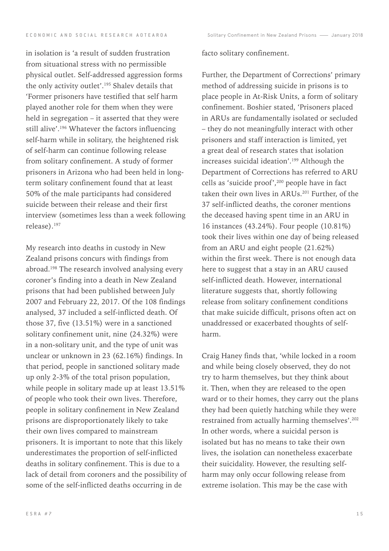in isolation is 'a result of sudden frustration from situational stress with no permissible physical outlet. Self-addressed aggression forms the only activity outlet'.<sup>195</sup> Shalev details that 'Former prisoners have testified that self harm played another role for them when they were held in segregation – it asserted that they were still alive'.<sup>196</sup> Whatever the factors influencing self-harm while in solitary, the heightened risk of self-harm can continue following release from solitary confinement. A study of former prisoners in Arizona who had been held in longterm solitary confinement found that at least 50% of the male participants had considered suicide between their release and their first interview (sometimes less than a week following release).197

My research into deaths in custody in New Zealand prisons concurs with findings from abroad.<sup>198</sup> The research involved analysing every coroner's finding into a death in New Zealand prisons that had been published between July 2007 and February 22, 2017. Of the 108 findings analysed, 37 included a self-inflicted death. Of those 37, five (13.51%) were in a sanctioned solitary confinement unit, nine (24.32%) were in a non-solitary unit, and the type of unit was unclear or unknown in 23 (62.16%) findings. In that period, people in sanctioned solitary made up only 2-3% of the total prison population, while people in solitary made up at least 13.51% of people who took their own lives. Therefore, people in solitary confinement in New Zealand prisons are disproportionately likely to take their own lives compared to mainstream prisoners. It is important to note that this likely underestimates the proportion of self-inflicted deaths in solitary confinement. This is due to a lack of detail from coroners and the possibility of some of the self-inflicted deaths occurring in de

#### facto solitary confinement.

Further, the Department of Corrections' primary method of addressing suicide in prisons is to place people in At-Risk Units, a form of solitary confinement. Boshier stated, 'Prisoners placed in ARUs are fundamentally isolated or secluded – they do not meaningfully interact with other prisoners and staff interaction is limited, yet a great deal of research states that isolation increases suicidal ideation'.<sup>199</sup> Although the Department of Corrections has referred to ARU cells as 'suicide proof',200 people have in fact taken their own lives in ARUs.<sup>201</sup> Further, of the 37 self-inflicted deaths, the coroner mentions the deceased having spent time in an ARU in 16 instances (43.24%). Four people (10.81%) took their lives within one day of being released from an ARU and eight people (21.62%) within the first week. There is not enough data here to suggest that a stay in an ARU caused self-inflicted death. However, international literature suggests that, shortly following release from solitary confinement conditions that make suicide difficult, prisons often act on unaddressed or exacerbated thoughts of selfharm.

Craig Haney finds that, 'while locked in a room and while being closely observed, they do not try to harm themselves, but they think about it. Then, when they are released to the open ward or to their homes, they carry out the plans they had been quietly hatching while they were restrained from actually harming themselves'.202 In other words, where a suicidal person is isolated but has no means to take their own lives, the isolation can nonetheless exacerbate their suicidality. However, the resulting selfharm may only occur following release from extreme isolation. This may be the case with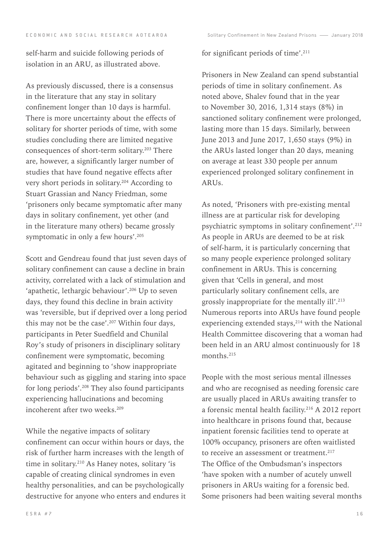self-harm and suicide following periods of isolation in an ARU, as illustrated above.

As previously discussed, there is a consensus in the literature that any stay in solitary confinement longer than 10 days is harmful. There is more uncertainty about the effects of solitary for shorter periods of time, with some studies concluding there are limited negative consequences of short-term solitary.203 There are, however, a significantly larger number of studies that have found negative effects after very short periods in solitary.204 According to Stuart Grassian and Nancy Friedman, some 'prisoners only became symptomatic after many days in solitary confinement, yet other (and in the literature many others) became grossly symptomatic in only a few hours'.<sup>205</sup>

Scott and Gendreau found that just seven days of solitary confinement can cause a decline in brain activity, correlated with a lack of stimulation and 'apathetic, lethargic behaviour'.206 Up to seven days, they found this decline in brain activity was 'reversible, but if deprived over a long period this may not be the case'.207 Within four days, participants in Peter Suedfield and Chunilal Roy's study of prisoners in disciplinary solitary confinement were symptomatic, becoming agitated and beginning to 'show inappropriate behaviour such as giggling and staring into space for long periods'.208 They also found participants experiencing hallucinations and becoming incoherent after two weeks.209

While the negative impacts of solitary confinement can occur within hours or days, the risk of further harm increases with the length of time in solitary.<sup>210</sup> As Haney notes, solitary 'is capable of creating clinical syndromes in even healthy personalities, and can be psychologically destructive for anyone who enters and endures it for significant periods of time'.211

Prisoners in New Zealand can spend substantial periods of time in solitary confinement. As noted above, Shalev found that in the year to November 30, 2016, 1,314 stays (8%) in sanctioned solitary confinement were prolonged, lasting more than 15 days. Similarly, between June 2013 and June 2017, 1,650 stays (9%) in the ARUs lasted longer than 20 days, meaning on average at least 330 people per annum experienced prolonged solitary confinement in ARUs.

As noted, 'Prisoners with pre-existing mental illness are at particular risk for developing psychiatric symptoms in solitary confinement'.212 As people in ARUs are deemed to be at risk of self-harm, it is particularly concerning that so many people experience prolonged solitary confinement in ARUs. This is concerning given that 'Cells in general, and most particularly solitary confinement cells, are grossly inappropriate for the mentally ill'.213 Numerous reports into ARUs have found people experiencing extended stays, $214$  with the National Health Committee discovering that a woman had been held in an ARU almost continuously for 18 months.215

People with the most serious mental illnesses and who are recognised as needing forensic care are usually placed in ARUs awaiting transfer to a forensic mental health facility.216 A 2012 report into healthcare in prisons found that, because inpatient forensic facilities tend to operate at 100% occupancy, prisoners are often waitlisted to receive an assessment or treatment.<sup>217</sup> The Office of the Ombudsman's inspectors 'have spoken with a number of acutely unwell prisoners in ARUs waiting for a forensic bed. Some prisoners had been waiting several months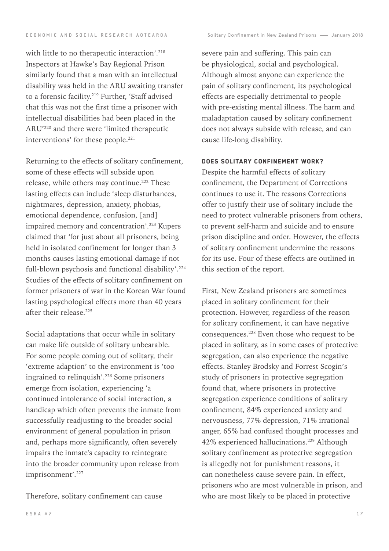with little to no therapeutic interaction'.<sup>218</sup> Inspectors at Hawke's Bay Regional Prison similarly found that a man with an intellectual disability was held in the ARU awaiting transfer to a forensic facility.<sup>219</sup> Further, 'Staff advised that this was not the first time a prisoner with intellectual disabilities had been placed in the ARU'220 and there were 'limited therapeutic interventions' for these people.<sup>221</sup>

Returning to the effects of solitary confinement, some of these effects will subside upon release, while others may continue.<sup>222</sup> These lasting effects can include 'sleep disturbances, nightmares, depression, anxiety, phobias, emotional dependence, confusion, [and] impaired memory and concentration'.<sup>223</sup> Kupers claimed that 'for just about all prisoners, being held in isolated confinement for longer than 3 months causes lasting emotional damage if not full-blown psychosis and functional disability'.<sup>224</sup> Studies of the effects of solitary confinement on former prisoners of war in the Korean War found lasting psychological effects more than 40 years after their release.225

Social adaptations that occur while in solitary can make life outside of solitary unbearable. For some people coming out of solitary, their 'extreme adaption' to the environment is 'too ingrained to relinquish'.226 Some prisoners emerge from isolation, experiencing 'a continued intolerance of social interaction, a handicap which often prevents the inmate from successfully readjusting to the broader social environment of general population in prison and, perhaps more significantly, often severely impairs the inmate's capacity to reintegrate into the broader community upon release from imprisonment'.<sup>227</sup>

Therefore, solitary confinement can cause

severe pain and suffering. This pain can be physiological, social and psychological. Although almost anyone can experience the pain of solitary confinement, its psychological effects are especially detrimental to people with pre-existing mental illness. The harm and maladaptation caused by solitary confinement does not always subside with release, and can cause life-long disability.

# Does solitary confinement work?

Despite the harmful effects of solitary confinement, the Department of Corrections continues to use it. The reasons Corrections offer to justify their use of solitary include the need to protect vulnerable prisoners from others, to prevent self-harm and suicide and to ensure prison discipline and order. However, the effects of solitary confinement undermine the reasons for its use. Four of these effects are outlined in this section of the report.

First, New Zealand prisoners are sometimes placed in solitary confinement for their protection. However, regardless of the reason for solitary confinement, it can have negative consequences.228 Even those who request to be placed in solitary, as in some cases of protective segregation, can also experience the negative effects. Stanley Brodsky and Forrest Scogin's study of prisoners in protective segregation found that, where prisoners in protective segregation experience conditions of solitary confinement, 84% experienced anxiety and nervousness, 77% depression, 71% irrational anger, 65% had confused thought processes and 42% experienced hallucinations.229 Although solitary confinement as protective segregation is allegedly not for punishment reasons, it can nonetheless cause severe pain. In effect, prisoners who are most vulnerable in prison, and who are most likely to be placed in protective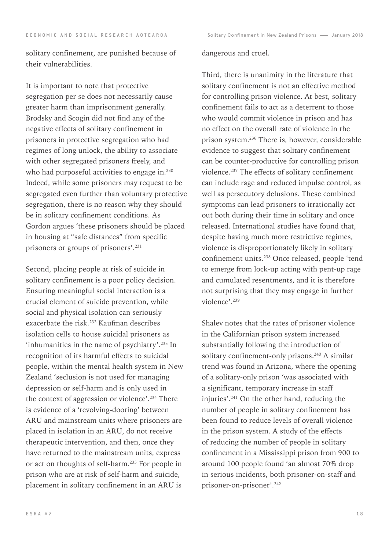solitary confinement, are punished because of their vulnerabilities.

It is important to note that protective segregation per se does not necessarily cause greater harm than imprisonment generally. Brodsky and Scogin did not find any of the negative effects of solitary confinement in prisoners in protective segregation who had regimes of long unlock, the ability to associate with other segregated prisoners freely, and who had purposeful activities to engage in.<sup>230</sup> Indeed, while some prisoners may request to be segregated even further than voluntary protective segregation, there is no reason why they should be in solitary confinement conditions. As Gordon argues 'these prisoners should be placed in housing at "safe distances" from specific prisoners or groups of prisoners'.231

Second, placing people at risk of suicide in solitary confinement is a poor policy decision. Ensuring meaningful social interaction is a crucial element of suicide prevention, while social and physical isolation can seriously exacerbate the risk.<sup>232</sup> Kaufman describes isolation cells to house suicidal prisoners as 'inhumanities in the name of psychiatry'.233 In recognition of its harmful effects to suicidal people, within the mental health system in New Zealand 'seclusion is not used for managing depression or self-harm and is only used in the context of aggression or violence'.234 There is evidence of a 'revolving-dooring' between ARU and mainstream units where prisoners are placed in isolation in an ARU, do not receive therapeutic intervention, and then, once they have returned to the mainstream units, express or act on thoughts of self-harm.235 For people in prison who are at risk of self-harm and suicide, placement in solitary confinement in an ARU is

#### dangerous and cruel.

Third, there is unanimity in the literature that solitary confinement is not an effective method for controlling prison violence. At best, solitary confinement fails to act as a deterrent to those who would commit violence in prison and has no effect on the overall rate of violence in the prison system.236 There is, however, considerable evidence to suggest that solitary confinement can be counter-productive for controlling prison violence.237 The effects of solitary confinement can include rage and reduced impulse control, as well as persecutory delusions. These combined symptoms can lead prisoners to irrationally act out both during their time in solitary and once released. International studies have found that, despite having much more restrictive regimes, violence is disproportionately likely in solitary confinement units.238 Once released, people 'tend to emerge from lock-up acting with pent-up rage and cumulated resentments, and it is therefore not surprising that they may engage in further violence'.239

Shalev notes that the rates of prisoner violence in the Californian prison system increased substantially following the introduction of solitary confinement-only prisons.<sup>240</sup> A similar trend was found in Arizona, where the opening of a solitary-only prison 'was associated with a significant, temporary increase in staff injuries'.241 On the other hand, reducing the number of people in solitary confinement has been found to reduce levels of overall violence in the prison system. A study of the effects of reducing the number of people in solitary confinement in a Mississippi prison from 900 to around 100 people found 'an almost 70% drop in serious incidents, both prisoner-on-staff and prisoner-on-prisoner'.242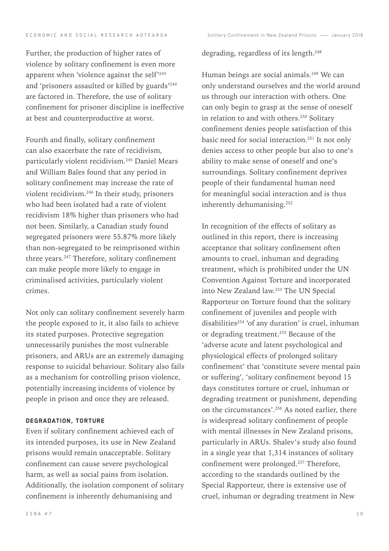Further, the production of higher rates of violence by solitary confinement is even more apparent when 'violence against the self'243 and 'prisoners assaulted or killed by guards'244 are factored in. Therefore, the use of solitary confinement for prisoner discipline is ineffective at best and counterproductive at worst.

Fourth and finally, solitary confinement can also exacerbate the rate of recidivism, particularly violent recidivism.245 Daniel Mears and William Bales found that any period in solitary confinement may increase the rate of violent recidivism.246 In their study, prisoners who had been isolated had a rate of violent recidivism 18% higher than prisoners who had not been. Similarly, a Canadian study found segregated prisoners were 55.87% more likely than non-segregated to be reimprisoned within three years.<sup>247</sup> Therefore, solitary confinement can make people more likely to engage in criminalised activities, particularly violent crimes.

Not only can solitary confinement severely harm the people exposed to it, it also fails to achieve its stated purposes. Protective segregation unnecessarily punishes the most vulnerable prisoners, and ARUs are an extremely damaging response to suicidal behaviour. Solitary also fails as a mechanism for controlling prison violence, potentially increasing incidents of violence by people in prison and once they are released.

# Degradation, torture

Even if solitary confinement achieved each of its intended purposes, its use in New Zealand prisons would remain unacceptable. Solitary confinement can cause severe psychological harm, as well as social pains from isolation. Additionally, the isolation component of solitary confinement is inherently dehumanising and

# degrading, regardless of its length.<sup>248</sup>

Human beings are social animals.<sup>249</sup> We can only understand ourselves and the world around us through our interaction with others. One can only begin to grasp at the sense of oneself in relation to and with others.<sup>250</sup> Solitary confinement denies people satisfaction of this basic need for social interaction.<sup>251</sup> It not only denies access to other people but also to one's ability to make sense of oneself and one's surroundings. Solitary confinement deprives people of their fundamental human need for meaningful social interaction and is thus inherently dehumanising.<sup>252</sup>

In recognition of the effects of solitary as outlined in this report, there is increasing acceptance that solitary confinement often amounts to cruel, inhuman and degrading treatment, which is prohibited under the UN Convention Against Torture and incorporated into New Zealand law.253 The UN Special Rapporteur on Torture found that the solitary confinement of juveniles and people with disabilities<sup>254</sup> 'of any duration' is cruel, inhuman or degrading treatment.<sup>255</sup> Because of the 'adverse acute and latent psychological and physiological effects of prolonged solitary confinement' that 'constitute severe mental pain or suffering', 'solitary confinement beyond 15 days constitutes torture or cruel, inhuman or degrading treatment or punishment, depending on the circumstances'.<sup>256</sup> As noted earlier, there is widespread solitary confinement of people with mental illnesses in New Zealand prisons, particularly in ARUs. Shalev's study also found in a single year that 1,314 instances of solitary confinement were prolonged.257 Therefore, according to the standards outlined by the Special Rapporteur, there is extensive use of cruel, inhuman or degrading treatment in New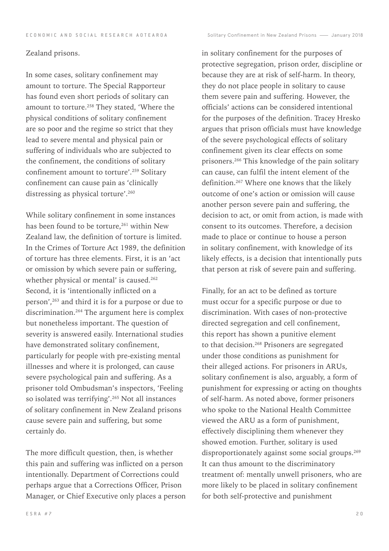# Zealand prisons.

In some cases, solitary confinement may amount to torture. The Special Rapporteur has found even short periods of solitary can amount to torture.258 They stated, 'Where the physical conditions of solitary confinement are so poor and the regime so strict that they lead to severe mental and physical pain or suffering of individuals who are subjected to the confinement, the conditions of solitary confinement amount to torture'.259 Solitary confinement can cause pain as 'clinically distressing as physical torture'.<sup>260</sup>

While solitary confinement in some instances has been found to be torture,<sup>261</sup> within New Zealand law, the definition of torture is limited. In the Crimes of Torture Act 1989, the definition of torture has three elements. First, it is an 'act or omission by which severe pain or suffering, whether physical or mental' is caused.<sup>262</sup> Second, it is 'intentionally inflicted on a person',263 and third it is for a purpose or due to discrimination.264 The argument here is complex but nonetheless important. The question of severity is answered easily. International studies have demonstrated solitary confinement, particularly for people with pre-existing mental illnesses and where it is prolonged, can cause severe psychological pain and suffering. As a prisoner told Ombudsman's inspectors, 'Feeling so isolated was terrifying'.265 Not all instances of solitary confinement in New Zealand prisons cause severe pain and suffering, but some certainly do.

The more difficult question, then, is whether this pain and suffering was inflicted on a person intentionally. Department of Corrections could perhaps argue that a Corrections Officer, Prison Manager, or Chief Executive only places a person in solitary confinement for the purposes of protective segregation, prison order, discipline or because they are at risk of self-harm. In theory, they do not place people in solitary to cause them severe pain and suffering. However, the officials' actions can be considered intentional for the purposes of the definition. Tracey Hresko argues that prison officials must have knowledge of the severe psychological effects of solitary confinement given its clear effects on some prisoners.266 This knowledge of the pain solitary can cause, can fulfil the intent element of the definition.267 Where one knows that the likely outcome of one's action or omission will cause another person severe pain and suffering, the decision to act, or omit from action, is made with consent to its outcomes. Therefore, a decision made to place or continue to house a person in solitary confinement, with knowledge of its likely effects, is a decision that intentionally puts that person at risk of severe pain and suffering.

Finally, for an act to be defined as torture must occur for a specific purpose or due to discrimination. With cases of non-protective directed segregation and cell confinement, this report has shown a punitive element to that decision.268 Prisoners are segregated under those conditions as punishment for their alleged actions. For prisoners in ARUs, solitary confinement is also, arguably, a form of punishment for expressing or acting on thoughts of self-harm. As noted above, former prisoners who spoke to the National Health Committee viewed the ARU as a form of punishment, effectively disciplining them whenever they showed emotion. Further, solitary is used disproportionately against some social groups.<sup>269</sup> It can thus amount to the discriminatory treatment of: mentally unwell prisoners, who are more likely to be placed in solitary confinement for both self-protective and punishment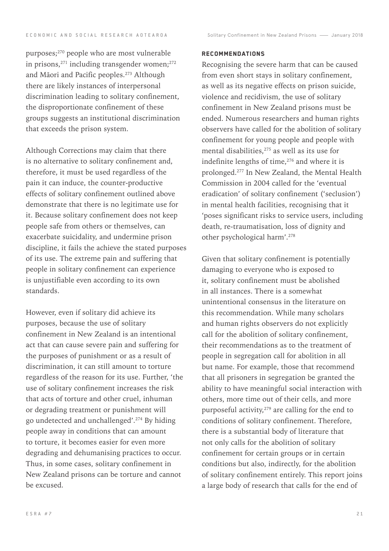purposes;270 people who are most vulnerable in prisons, $271$  including transgender women; $272$ and Māori and Pacific peoples.273 Although there are likely instances of interpersonal discrimination leading to solitary confinement, the disproportionate confinement of these groups suggests an institutional discrimination that exceeds the prison system.

Although Corrections may claim that there is no alternative to solitary confinement and, therefore, it must be used regardless of the pain it can induce, the counter-productive effects of solitary confinement outlined above demonstrate that there is no legitimate use for it. Because solitary confinement does not keep people safe from others or themselves, can exacerbate suicidality, and undermine prison discipline, it fails the achieve the stated purposes of its use. The extreme pain and suffering that people in solitary confinement can experience is unjustifiable even according to its own standards.

However, even if solitary did achieve its purposes, because the use of solitary confinement in New Zealand is an intentional act that can cause severe pain and suffering for the purposes of punishment or as a result of discrimination, it can still amount to torture regardless of the reason for its use. Further, 'the use of solitary confinement increases the risk that acts of torture and other cruel, inhuman or degrading treatment or punishment will go undetected and unchallenged'.274 By hiding people away in conditions that can amount to torture, it becomes easier for even more degrading and dehumanising practices to occur. Thus, in some cases, solitary confinement in New Zealand prisons can be torture and cannot be excused.

## Recommendations

Recognising the severe harm that can be caused from even short stays in solitary confinement, as well as its negative effects on prison suicide, violence and recidivism, the use of solitary confinement in New Zealand prisons must be ended. Numerous researchers and human rights observers have called for the abolition of solitary confinement for young people and people with mental disabilities,275 as well as its use for indefinite lengths of time, $276$  and where it is prolonged.277 In New Zealand, the Mental Health Commission in 2004 called for the 'eventual eradication' of solitary confinement ('seclusion') in mental health facilities, recognising that it 'poses significant risks to service users, including death, re-traumatisation, loss of dignity and other psychological harm'.278

Given that solitary confinement is potentially damaging to everyone who is exposed to it, solitary confinement must be abolished in all instances. There is a somewhat unintentional consensus in the literature on this recommendation. While many scholars and human rights observers do not explicitly call for the abolition of solitary confinement, their recommendations as to the treatment of people in segregation call for abolition in all but name. For example, those that recommend that all prisoners in segregation be granted the ability to have meaningful social interaction with others, more time out of their cells, and more purposeful activity, $279$  are calling for the end to conditions of solitary confinement. Therefore, there is a substantial body of literature that not only calls for the abolition of solitary confinement for certain groups or in certain conditions but also, indirectly, for the abolition of solitary confinement entirely. This report joins a large body of research that calls for the end of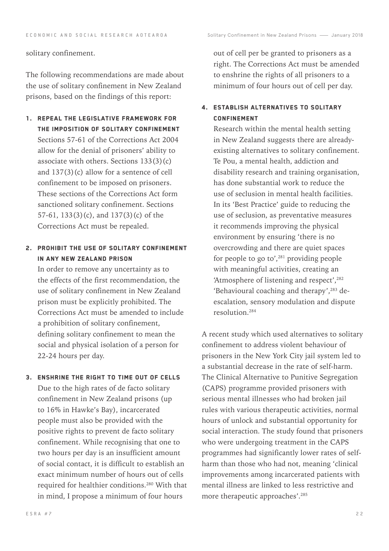# solitary confinement.

The following recommendations are made about the use of solitary confinement in New Zealand prisons, based on the findings of this report:

1. Repeal the legislative framework for the imposition of solitary confinement Sections 57-61 of the Corrections Act 2004 allow for the denial of prisoners' ability to associate with others. Sections  $133(3)(c)$ and 137(3)(c) allow for a sentence of cell confinement to be imposed on prisoners. These sections of the Corrections Act form sanctioned solitary confinement. Sections 57-61, 133(3)(c), and 137(3)(c) of the Corrections Act must be repealed.

# 2. Prohibit the use of solitary confinement in any New Zealand prison

In order to remove any uncertainty as to the effects of the first recommendation, the use of solitary confinement in New Zealand prison must be explicitly prohibited. The Corrections Act must be amended to include a prohibition of solitary confinement, defining solitary confinement to mean the social and physical isolation of a person for 22-24 hours per day.

3. Enshrine the right to time out of cells Due to the high rates of de facto solitary confinement in New Zealand prisons (up to 16% in Hawke's Bay), incarcerated people must also be provided with the positive rights to prevent de facto solitary confinement. While recognising that one to two hours per day is an insufficient amount of social contact, it is difficult to establish an exact minimum number of hours out of cells required for healthier conditions.280 With that in mind, I propose a minimum of four hours

out of cell per be granted to prisoners as a right. The Corrections Act must be amended to enshrine the rights of all prisoners to a minimum of four hours out of cell per day.

# 4. Establish alternatives to solitary **CONFINEMENT**

Research within the mental health setting in New Zealand suggests there are alreadyexisting alternatives to solitary confinement. Te Pou, a mental health, addiction and disability research and training organisation, has done substantial work to reduce the use of seclusion in mental health facilities. In its 'Best Practice' guide to reducing the use of seclusion, as preventative measures it recommends improving the physical environment by ensuring 'there is no overcrowding and there are quiet spaces for people to go to', $281$  providing people with meaningful activities, creating an 'Atmosphere of listening and respect', <sup>282</sup> 'Behavioural coaching and therapy',283 deescalation, sensory modulation and dispute resolution.284

A recent study which used alternatives to solitary confinement to address violent behaviour of prisoners in the New York City jail system led to a substantial decrease in the rate of self-harm. The Clinical Alternative to Punitive Segregation (CAPS) programme provided prisoners with serious mental illnesses who had broken jail rules with various therapeutic activities, normal hours of unlock and substantial opportunity for social interaction. The study found that prisoners who were undergoing treatment in the CAPS programmes had significantly lower rates of selfharm than those who had not, meaning 'clinical improvements among incarcerated patients with mental illness are linked to less restrictive and more therapeutic approaches'.285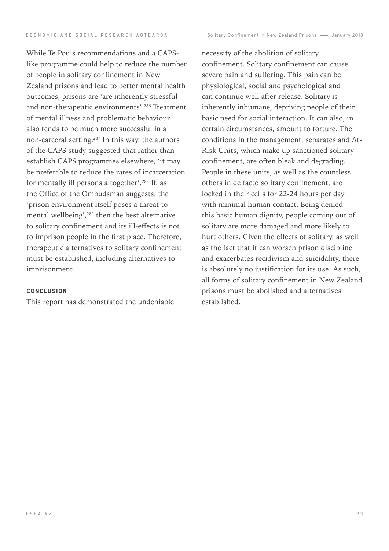While Te Pou's recommendations and a CAPSlike programme could help to reduce the number of people in solitary confinement in New Zealand prisons and lead to better mental health outcomes, prisons are 'are inherently stressful and non-therapeutic environments'.286 Treatment of mental illness and problematic behaviour also tends to be much more successful in a non-carceral setting.287 In this way, the authors of the CAPS study suggested that rather than establish CAPS programmes elsewhere, 'it may be preferable to reduce the rates of incarceration for mentally ill persons altogether'.288 If, as the Office of the Ombudsman suggests, the 'prison environment itself poses a threat to mental wellbeing',<sup>289</sup> then the best alternative to solitary confinement and its ill-effects is not to imprison people in the first place. Therefore, therapeutic alternatives to solitary confinement must be established, including alternatives to imprisonment.

## **CONCLUSION**

This report has demonstrated the undeniable

necessity of the abolition of solitary confinement. Solitary confinement can cause severe pain and suffering. This pain can be physiological, social and psychological and can continue well after release. Solitary is inherently inhumane, depriving people of their basic need for social interaction. It can also, in certain circumstances, amount to torture. The conditions in the management, separates and At-Risk Units, which make up sanctioned solitary confinement, are often bleak and degrading. People in these units, as well as the countless others in de facto solitary confinement, are locked in their cells for 22-24 hours per day with minimal human contact. Being denied this basic human dignity, people coming out of solitary are more damaged and more likely to hurt others. Given the effects of solitary, as well as the fact that it can worsen prison discipline and exacerbates recidivism and suicidality, there is absolutely no justification for its use. As such, all forms of solitary confinement in New Zealand prisons must be abolished and alternatives established.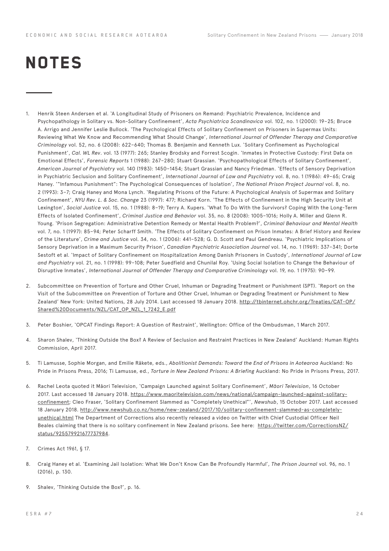# **NOTES**

- 1. Henrik Steen Andersen et al. 'A Longitudinal Study of Prisoners on Remand: Psychiatric Prevalence, Incidence and Psychopathology in Solitary vs. Non-Solitary Confinement', *Acta Psychiatrica Scandinavica* vol. 102, no. 1 (2000): 19–25; Bruce A. Arrigo and Jennifer Leslie Bullock. 'The Psychological Effects of Solitary Confinement on Prisoners in Supermax Units: Reviewing What We Know and Recommending What Should Change', *International Journal of Offender Therapy and Comparative Criminology* vol. 52, no. 6 (2008): 622–640; Thomas B. Benjamin and Kenneth Lux. 'Solitary Confinement as Psychological Punishment', *Cal. WL Rev*. vol. 13 (1977): 265; Stanley Brodsky and Forrest Scogin. 'Inmates in Protective Custody: First Data on Emotional Effects', *Forensic Reports* 1 (1988): 267–280; Stuart Grassian. 'Psychopathological Effects of Solitary Confinement', *American Journal of Psychiatry* vol. 140 (1983): 1450–1454; Stuart Grassian and Nancy Friedman. 'Effects of Sensory Deprivation in Psychiatric Seclusion and Solitary Confinement', *International Journal of Law and Psychiatry* vol. 8, no. 1 (1986): 49–65; Craig Haney. '"Infamous Punishment": The Psychological Consequences of Isolation', *The National Prison Project Journal* vol. 8, no. 2 (1993): 3–7; Craig Haney and Mona Lynch. 'Regulating Prisons of the Future: A Psychological Analysis of Supermax and Solitary Confinement', *NYU Rev. L. & Soc. Change* 23 (1997): 477; Richard Korn. 'The Effects of Confinement in the High Security Unit at Lexington', *Social Justice* vol. 15, no. 1 (1988): 8–19; Terry A. Kupers. 'What To Do With the Survivors? Coping With the Long-Term Effects of Isolated Confinement', *Criminal Justice and Behavior* vol. 35, no. 8 (2008): 1005–1016; Holly A. Miller and Glenn R. Young. 'Prison Segregation: Administrative Detention Remedy or Mental Health Problem?', *Criminal Behaviour and Mental Health* vol. 7, no. 1 (1997): 85–94; Peter Scharff Smith. 'The Effects of Solitary Confinement on Prison Inmates: A Brief History and Review of the Literature', *Crime and Justice* vol. 34, no. 1 (2006): 441–528; G. D. Scott and Paul Gendreau. 'Psychiatric Implications of Sensory Deprivation in a Maximum Security Prison', *Canadian Psychiatric Association Journal* vol. 14, no. 1 (1969): 337–341; Dorte Sestoft et al. 'Impact of Solitary Confinement on Hospitalization Among Danish Prisoners in Custody', *International Journal of Law and Psychiatry* vol. 21, no. 1 (1998): 99–108; Peter Suedfield and Chunilal Roy. 'Using Social Isolation to Change the Behaviour of Disruptive Inmates', *International Journal of Offender Therapy and Comparative Criminology* vol. 19, no. 1 (1975): 90–99.
- 2. Subcommittee on Prevention of Torture and Other Cruel, Inhuman or Degrading Treatment or Punishment (SPT). 'Report on the Visit of the Subcommittee on Prevention of Torture and Other Cruel, Inhuman or Degrading Treatment or Punishment to New Zealand' New York: United Nations, 28 July 2014. Last accessed 18 January 2018. [http://tbinternet.ohchr.org/Treaties/CAT-OP/](http://tbinternet.ohchr.org/Treaties/CAT-OP/Shared%20Documents/NZL/CAT_OP_NZL_1_7242_E.pdf) [Shared%20Documents/NZL/CAT\\_OP\\_NZL\\_1\\_7242\\_E.pdf](http://tbinternet.ohchr.org/Treaties/CAT-OP/Shared%20Documents/NZL/CAT_OP_NZL_1_7242_E.pdf)
- 3. Peter Boshier, 'OPCAT Findings Report: A Question of Restraint', Wellington: Office of the Ombudsman, 1 March 2017.
- 4. Sharon Shalev, 'Thinking Outside the Box? A Review of Seclusion and Restraint Practices in New Zealand' Auckland: Human Rights Commission, April 2017.
- 5. Ti Lamusse, Sophie Morgan, and Emilie Rākete, eds., *Abolitionist Demands: Toward the End of Prisons in Aotearoa* Auckland: No Pride in Prisons Press, 2016; Ti Lamusse, ed., *Torture in New Zealand Prisons: A Briefing* Auckland: No Pride in Prisons Press, 2017.
- 6. Rachel Leota quoted it Māori Television, 'Campaign Launched against Solitary Confinement', *Māori Television*, 16 October 2017. Last accessed 18 January 2018. [https://www.maoritelevision.com/news/national/campaign-launched-against-solitary](https://www.maoritelevision.com/news/national/campaign-launched-against-solitary-confinement)[confinement](https://www.maoritelevision.com/news/national/campaign-launched-against-solitary-confinement); Cleo Fraser, 'Solitary Confinement Slammed as "Completely Unethical"', *Newshub*, 15 October 2017. Last accessed 18 January 2018. [http://www.newshub.co.nz/home/new-zealand/2017/10/solitary-confinement-slammed-as-completely](http://www.newshub.co.nz/home/new-zealand/2017/10/solitary-confinement-slammed-as-completely-unethic)[unethical.html](http://www.newshub.co.nz/home/new-zealand/2017/10/solitary-confinement-slammed-as-completely-unethic) The Department of Corrections also recently released a video on Twitter with Chief Custodial Officer Neil Beales claiming that there is no solitary confinement in New Zealand prisons. See here: [https://twitter.com/CorrectionsNZ/](https://twitter.com/CorrectionsNZ/status/925579921677737984) [status/925579921677737984.](https://twitter.com/CorrectionsNZ/status/925579921677737984)
- 7. Crimes Act 1961, § 17.
- 8. Craig Haney et al. 'Examining Jail Isolation: What We Don't Know Can Be Profoundly Harmful', *The Prison Journal* vol. 96, no. 1 (2016), p. 130.
- 9. Shalev, 'Thinking Outside the Box?', p. 16.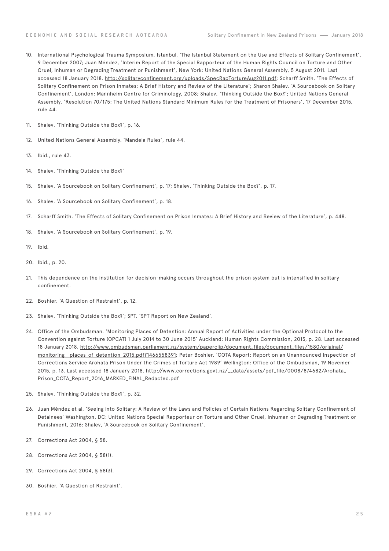- 10. International Psychological Trauma Symposium, Istanbul. 'The Istanbul Statement on the Use and Effects of Solitary Confinement', 9 December 2007; Juan Méndez, 'Interim Report of the Special Rapporteur of the Human Rights Council on Torture and Other Cruel, Inhuman or Degrading Treatment or Punishment', New York: United Nations General Assembly, 5 August 2011. Last accessed 18 January 2018. <http://solitaryconfinement.org/uploads/SpecRapTortureAug2011.pdf>; Scharff Smith. 'The Effects of Solitary Confinement on Prison Inmates: A Brief History and Review of the Literature'; Sharon Shalev. 'A Sourcebook on Solitary Confinement'. London: Mannheim Centre for Criminology, 2008; Shalev, 'Thinking Outside the Box?'; United Nations General Assembly. 'Resolution 70/175: The United Nations Standard Minimum Rules for the Treatment of Prisoners', 17 December 2015, rule 44.
- 11. Shalev. 'Thinking Outside the Box?', p. 16.
- 12. United Nations General Assembly. 'Mandela Rules', rule 44.
- 13. Ibid., rule 43.
- 14. Shalev. 'Thinking Outside the Box?'
- 15. Shalev. 'A Sourcebook on Solitary Confinement', p. 17; Shalev, 'Thinking Outside the Box?', p. 17.
- 16. Shalev. 'A Sourcebook on Solitary Confinement', p. 18.
- 17. Scharff Smith. 'The Effects of Solitary Confinement on Prison Inmates: A Brief History and Review of the Literature', p. 448.
- 18. Shalev. 'A Sourcebook on Solitary Confinement', p. 19.
- 19. Ibid.
- 20. Ibid., p. 20.
- 21. This dependence on the institution for decision-making occurs throughout the prison system but is intensified in solitary confinement.
- 22. Boshier. 'A Question of Restraint', p. 12.
- 23. Shalev. 'Thinking Outside the Box?'; SPT. 'SPT Report on New Zealand'.
- 24. Office of the Ombudsman. 'Monitoring Places of Detention: Annual Report of Activities under the Optional Protocol to the Convention against Torture (OPCAT) 1 July 2014 to 30 June 2015' Auckland: Human Rights Commission, 2015, p. 28. Last accessed 18 January 2018. [http://www.ombudsman.parliament.nz/system/paperclip/document\\_files/document\\_files/1580/original/](http://www.ombudsman.parliament.nz/system/paperclip/document_files/document_files/1580/original/moni) [monitoring\\_\\_places\\_of\\_detention\\_2015.pdf?1466558391](http://www.ombudsman.parliament.nz/system/paperclip/document_files/document_files/1580/original/moni); Peter Boshier. 'COTA Report: Report on an Unannounced Inspection of Corrections Service Arohata Prison Under the Crimes of Torture Act 1989' Wellington: Office of the Ombudsman, 19 Novemer 2015, p. 13. Last accessed 18 January 2018. [http://www.corrections.govt.nz/\\_\\_data/assets/pdf\\_file/0008/874682/Arohata\\_](http://www.corrections.govt.nz/__data/assets/pdf_file/0008/874682/Arohata_Prison_COTA_Report_2016_MA) [Prison\\_COTA\\_Report\\_2016\\_MARKED\\_FINAL\\_Redacted.pdf](http://www.corrections.govt.nz/__data/assets/pdf_file/0008/874682/Arohata_Prison_COTA_Report_2016_MA)
- 25. Shalev. 'Thinking Outside the Box?', p. 32.
- 26. Juan Méndez et al. 'Seeing into Solitary: A Review of the Laws and Policies of Certain Nations Regarding Solitary Confinement of Detainees' Washington, DC: United Nations Special Rapporteur on Torture and Other Cruel, Inhuman or Degrading Treatment or Punishment, 2016; Shalev, 'A Sourcebook on Solitary Confinement'.
- 27. Corrections Act 2004, § 58.
- 28. Corrections Act 2004, § 58(1).
- 29. Corrections Act 2004, § 58(3).
- 30. Boshier. 'A Question of Restraint'.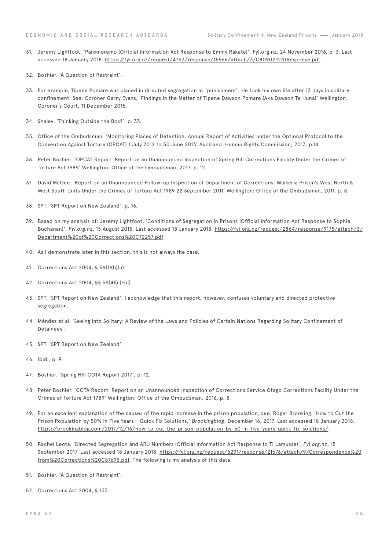- 31. Jeremy Lightfoot. 'Paremoremo (Official Information Act Response to Emmy Rākete)', Fyi.org.nz, 24 November 2016, p. 3. Last accessed 18 January 2018. [https://fyi.org.nz/request/4753/response/15966/attach/3/C80902%20Response.pdf.](https://fyi.org.nz/request/4753/response/15966/attach/3/C80902%20Response.pdf)
- 32. Boshier. 'A Question of Restraint'.
- 33. For example, Tipene Pomare was placed in directed segregation as 'punishment'. He took his own life after 13 days in solitary confinement. See: Coroner Garry Evans, 'Findings in the Matter of Tipene Dawson Pomare (Aka Dawson Te Huna)' Wellington: Coroner's Court, 11 December 2015.
- 34. Shalev. 'Thinking Outside the Box?', p. 33.
- 35. Office of the Ombudsman. 'Monitoring Places of Detention: Annual Report of Activities under the Optional Protocol to the Convention Against Torture (OPCAT) 1 July 2012 to 30 June 2013' Auckland: Human Rights Commission, 2013, p.14.
- 36. Peter Boshier. 'OPCAT Report: Report on an Unannounced Inspection of Spring Hill Corrections Facility Under the Crimes of Torture Act 1989' Wellington: Office of the Ombudsman, 2017, p. 12.
- 37. David McGee. 'Report on an Unannounced Follow-up Inspection of Department of Corrections' Waikeria Prison's West North & West South Units Under the Crimes of Torture Act 1989 22 September 2011' Wellington: Office of the Ombudsman, 2011, p. 8.
- 38. SPT. 'SPT Report on New Zealand', p. 16.
- 39. Based on my analysis of: Jeremy Lightfoot, 'Conditions of Segregation in Prisons (Official Information Act Response to Sophie Buchanan)', *Fyi.org.nz*, 15 August 2015. Last accessed 18 January 2018. [https://fyi.org.nz/request/2864/response/9175/attach/3/](https://fyi.org.nz/request/2864/response/9175/attach/3/Department%20of%20Corrections%20C72257.pdf) [Department%20of%20Corrections%20C72257.pdf.](https://fyi.org.nz/request/2864/response/9175/attach/3/Department%20of%20Corrections%20C72257.pdf)
- 40. As I demonstrate later in this section, this is not always the case.
- 41. Corrections Act 2004, § 59(1)(b)(ii)
- 42. Corrections Act 2004, §§ 59(4)(c)-(d)
- 43. SPT. 'SPT Report on New Zealand'. I acknowledge that this report, however, confuses voluntary and directed protective segregation.
- 44. Méndez et al. 'Seeing into Solitary: A Review of the Laws and Policies of Certain Nations Regarding Solitary Confinement of Detainees'.
- 45. SPT. 'SPT Report on New Zealand'.
- 46. Ibid., p. 9.
- 47. Boshier. 'Spring Hill COTA Report 2017', p. 12.
- 48. Peter Boshier. 'COTA Report: Report on an Unannounced Inspection of Corrections Service Otago Corrections Facility Under the Crimes of Torture Act 1989' Wellington: Office of the Ombudsman, 2016, p. 8.
- 49. For an excellent explanation of the causes of the rapid increase in the prison population, see: Roger Brooking. 'How to Cut the Prison Population by 50% in Five Years – Quick Fix Solutions,' *Brookingblog*, December 16, 2017. Last accessed 18 January 2018. [https://brookingblog.com/2017/12/16/how-to-cut-the-prison-population-by-50-in-five-years-quick-fix-solutions/](https://brookingblog.com/2017/12/16/how-to-cut-the-prison-population-by-50-in-five-years-quick-fix-s).
- 50. Rachel Leota. 'Directed Segregation and ARU Numbers (Official Information Act Response to Ti Lamusse)', *Fyi.org.nz*, 15 September 2017. Last accessed 18 January 2018. [https://fyi.org.nz/request/6291/response/21676/attach/9/Correspondence%20](https://fyi.org.nz/request/6291/response/21676/attach/9/Correspondence%20from%20Corrections%20C87695) [from%20Corrections%20C87695.pdf](https://fyi.org.nz/request/6291/response/21676/attach/9/Correspondence%20from%20Corrections%20C87695). The following is my analysis of this data.
- 51. Boshier. 'A Question of Restraint'.
- 52. Corrections Act 2004, § 133.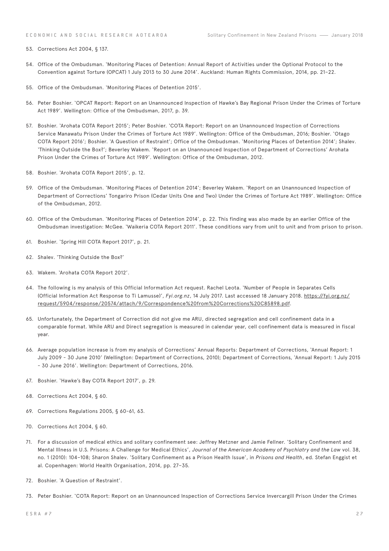- 53. Corrections Act 2004, § 137.
- 54. Office of the Ombudsman. 'Monitoring Places of Detention: Annual Report of Activities under the Optional Protocol to the Convention against Torture (OPCAT) 1 July 2013 to 30 June 2014'. Auckland: Human Rights Commission, 2014, pp. 21–22.
- 55. Office of the Ombudsman. 'Monitoring Places of Detention 2015'.
- 56. Peter Boshier. 'OPCAT Report: Report on an Unannounced Inspection of Hawke's Bay Regional Prison Under the Crimes of Torture Act 1989'. Wellington: Office of the Ombudsman, 2017, p. 39.
- 57. Boshier. 'Arohata COTA Report 2015'; Peter Boshier. 'COTA Report: Report on an Unannounced Inspection of Corrections Service Manawatu Prison Under the Crimes of Torture Act 1989'. Wellington: Office of the Ombudsman, 2016; Boshier. 'Otago COTA Report 2016'; Boshier. 'A Question of Restraint'; Office of the Ombudsman. 'Monitoring Places of Detention 2014'; Shalev. 'Thinking Outside the Box?'; Beverley Wakem. 'Report on an Unannounced Inspection of Department of Corrections' Arohata Prison Under the Crimes of Torture Act 1989'. Wellington: Office of the Ombudsman, 2012.
- 58. Boshier. 'Arohata COTA Report 2015', p. 12.
- 59. Office of the Ombudsman. 'Monitoring Places of Detention 2014'; Beverley Wakem. 'Report on an Unannounced Inspection of Department of Corrections' Tongariro Prison (Cedar Units One and Two) Under the Crimes of Torture Act 1989'. Wellington: Office of the Ombudsman, 2012.
- 60. Office of the Ombudsman. 'Monitoring Places of Detention 2014', p. 22. This finding was also made by an earlier Office of the Ombudsman investigation: McGee. 'Waikeria COTA Report 2011'. These conditions vary from unit to unit and from prison to prison.
- 61. Boshier. 'Spring Hill COTA Report 2017', p. 21.
- 62. Shalev. 'Thinking Outside the Box?'
- 63. Wakem. 'Arohata COTA Report 2012'.
- 64. The following is my analysis of this Official Information Act request. Rachel Leota. 'Number of People in Separates Cells (Official Information Act Response to Ti Lamusse)', *Fyi.org.nz*, 14 July 2017. Last accessed 18 January 2018. [https://fyi.org.nz/](https://fyi.org.nz/request/5904/response/20574/attach/9/Correspondence%20from%20Corrections%20C85898) [request/5904/response/20574/attach/9/Correspondence%20from%20Corrections%20C85898.pdf.](https://fyi.org.nz/request/5904/response/20574/attach/9/Correspondence%20from%20Corrections%20C85898)
- 65. Unfortunately, the Department of Correction did not give me ARU, directed segregation and cell confinement data in a comparable format. While ARU and Direct segregation is measured in calendar year, cell confinement data is measured in fiscal year.
- 66. Average population increase is from my analysis of Corrections' Annual Reports: Department of Corrections, 'Annual Report: 1 July 2009 - 30 June 2010' (Wellington: Department of Corrections, 2010); Department of Corrections, 'Annual Report: 1 July 2015 - 30 June 2016'. Wellington: Department of Corrections, 2016.
- 67. Boshier. 'Hawke's Bay COTA Report 2017', p. 29.
- 68. Corrections Act 2004, § 60.
- 69. Corrections Regulations 2005, § 60-61, 63.
- 70. Corrections Act 2004, § 60.
- 71. For a discussion of medical ethics and solitary confinement see: Jeffrey Metzner and Jamie Fellner. 'Solitary Confinement and Mental Illness in U.S. Prisons: A Challenge for Medical Ethics', *Journal of the American Academy of Psychiatry and the Law* vol. 38, no. 1 (2010): 104–108; Sharon Shalev. 'Solitary Confinement as a Prison Health Issue', in *Prisons and Health*, ed. Stefan Enggist et al. Copenhagen: World Health Organisation, 2014, pp. 27–35.
- 72. Boshier. 'A Question of Restraint'.
- 73. Peter Boshier. 'COTA Report: Report on an Unannounced Inspection of Corrections Service Invercargill Prison Under the Crimes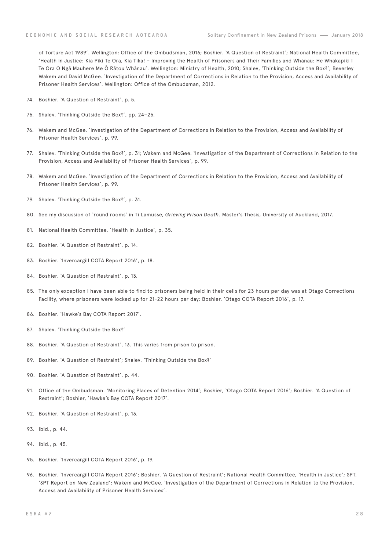of Torture Act 1989'. Wellington: Office of the Ombudsman, 2016; Boshier. 'A Question of Restraint'; National Health Committee, 'Health in Justice: Kia Piki Te Ora, Kia Tika! – Improving the Health of Prisoners and Their Families and Whānau: He Whakapiki I Te Ora O Ngā Mauhere Me Ō Rātou Whānau'. Wellington: Ministry of Health, 2010; Shalev, 'Thinking Outside the Box?'; Beverley Wakem and David McGee. 'Investigation of the Department of Corrections in Relation to the Provision, Access and Availability of Prisoner Health Services'. Wellington: Office of the Ombudsman, 2012.

- 74. Boshier. 'A Question of Restraint', p. 5.
- 75. Shalev. 'Thinking Outside the Box?', pp. 24–25.
- 76. Wakem and McGee. 'Investigation of the Department of Corrections in Relation to the Provision, Access and Availability of Prisoner Health Services', p. 99.
- 77. Shalev. 'Thinking Outside the Box?', p. 31; Wakem and McGee. 'Investigation of the Department of Corrections in Relation to the Provision, Access and Availability of Prisoner Health Services', p. 99.
- 78. Wakem and McGee. 'Investigation of the Department of Corrections in Relation to the Provision, Access and Availability of Prisoner Health Services', p. 99.
- 79. Shalev. 'Thinking Outside the Box?', p. 31.
- 80. See my discussion of 'round rooms' in Ti Lamusse, *Grieving Prison Death*. Master's Thesis, University of Auckland, 2017.
- 81. National Health Committee. 'Health in Justice', p. 35.
- 82. Boshier. 'A Question of Restraint', p. 14.
- 83. Boshier. 'Invercargill COTA Report 2016', p. 18.
- 84. Boshier. 'A Question of Restraint', p. 13.
- 85. The only exception I have been able to find to prisoners being held in their cells for 23 hours per day was at Otago Corrections Facility, where prisoners were locked up for 21-22 hours per day: Boshier. 'Otago COTA Report 2016', p. 17.
- 86. Boshier. 'Hawke's Bay COTA Report 2017'.
- 87. Shalev. 'Thinking Outside the Box?'
- 88. Boshier. 'A Question of Restraint', 13. This varies from prison to prison.
- 89. Boshier. 'A Question of Restraint'; Shalev. 'Thinking Outside the Box?'
- 90. Boshier. 'A Question of Restraint', p. 44.
- 91. Office of the Ombudsman. 'Monitoring Places of Detention 2014'; Boshier, 'Otago COTA Report 2016'; Boshier. 'A Question of Restraint'; Boshier, 'Hawke's Bay COTA Report 2017'.
- 92. Boshier. 'A Question of Restraint', p. 13.
- 93. Ibid., p. 44.
- 94. Ibid., p. 45.
- 95. Boshier. 'Invercargill COTA Report 2016', p. 19.
- 96. Boshier. 'Invercargill COTA Report 2016'; Boshier. 'A Question of Restraint'; National Health Committee, 'Health in Justice'; SPT. 'SPT Report on New Zealand'; Wakem and McGee. 'Investigation of the Department of Corrections in Relation to the Provision, Access and Availability of Prisoner Health Services'.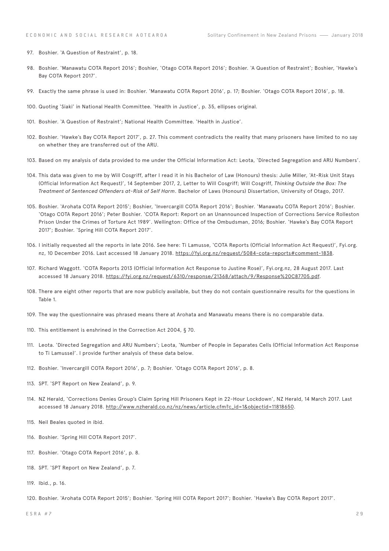- 97. Boshier. 'A Question of Restraint', p. 18.
- 98. Boshier. 'Manawatu COTA Report 2016'; Boshier, 'Otago COTA Report 2016'; Boshier. 'A Question of Restraint'; Boshier, 'Hawke's Bay COTA Report 2017'.
- 99. Exactly the same phrase is used in: Boshier. 'Manawatu COTA Report 2016', p. 17; Boshier. 'Otago COTA Report 2016', p. 18.
- 100. Quoting 'Siaki' in National Health Committee. 'Health in Justice', p. 35, ellipses original.
- 101. Boshier. 'A Question of Restraint'; National Health Committee. 'Health in Justice'.
- 102. Boshier. 'Hawke's Bay COTA Report 2017', p. 27. This comment contradicts the reality that many prisoners have limited to no say on whether they are transferred out of the ARU.
- 103. Based on my analysis of data provided to me under the Official Information Act: Leota, 'Directed Segregation and ARU Numbers'.
- 104. This data was given to me by Will Cosgriff, after I read it in his Bachelor of Law (Honours) thesis: Julie Miller, 'At-Risk Unit Stays (Official Information Act Request)', 14 September 2017, 2, Letter to Will Cosgriff; Will Cosgriff, *Thinking Outside the Box: The Treatment of Sentenced Offenders at-Risk of Self Harm*. Bachelor of Laws (Honours) Dissertation, University of Otago, 2017.
- 105. Boshier. 'Arohata COTA Report 2015'; Boshier, 'Invercargill COTA Report 2016'; Boshier. 'Manawatu COTA Report 2016'; Boshier. 'Otago COTA Report 2016'; Peter Boshier. 'COTA Report: Report on an Unannounced Inspection of Corrections Service Rolleston Prison Under the Crimes of Torture Act 1989'. Wellington: Office of the Ombudsman, 2016; Boshier. 'Hawke's Bay COTA Report 2017'; Boshier. 'Spring Hill COTA Report 2017'.
- 106. I initially requested all the reports in late 2016. See here: Ti Lamusse, 'COTA Reports (Official Information Act Request)', Fyi.org. nz, 10 December 2016. Last accessed 18 January 2018. [https://fyi.org.nz/request/5084-cota-reports#comment-1838.](https://fyi.org.nz/request/5084-cota-reports#comment-1838)
- 107. Richard Waggott. 'COTA Reports 2013 (Official Information Act Response to Justine Rose)', Fyi.org.nz, 28 August 2017. Last accessed 18 January 2018. <https://fyi.org.nz/request/6310/response/21368/attach/9/Response%20C87705.pdf>.
- 108. There are eight other reports that are now publicly available, but they do not contain questionnaire results for the questions in Table 1.
- 109. The way the questionnaire was phrased means there at Arohata and Manawatu means there is no comparable data.
- 110. This entitlement is enshrined in the Correction Act 2004, § 70.
- 111. Leota. 'Directed Segregation and ARU Numbers'; Leota, 'Number of People in Separates Cells (Official Information Act Response to Ti Lamusse)'. I provide further analysis of these data below.
- 112. Boshier. 'Invercargill COTA Report 2016', p. 7; Boshier. 'Otago COTA Report 2016', p. 8.
- 113. SPT. 'SPT Report on New Zealand', p. 9.
- 114. NZ Herald, 'Corrections Denies Group's Claim Spring Hill Prisoners Kept in 22-Hour Lockdown', NZ Herald, 14 March 2017. Last accessed 18 January 2018. [http://www.nzherald.co.nz/nz/news/article.cfm?c\\_id=1&objectid=11818650.](http://www.nzherald.co.nz/nz/news/article.cfm?c_id=1&objectid=11818650)
- 115. Neil Beales quoted in ibid.
- 116. Boshier. 'Spring Hill COTA Report 2017'.
- 117. Boshier. 'Otago COTA Report 2016', p. 8.
- 118. SPT. 'SPT Report on New Zealand', p. 7.
- 119. Ibid., p. 16.

120. Boshier. 'Arohata COTA Report 2015'; Boshier. 'Spring Hill COTA Report 2017'; Boshier. 'Hawke's Bay COTA Report 2017'.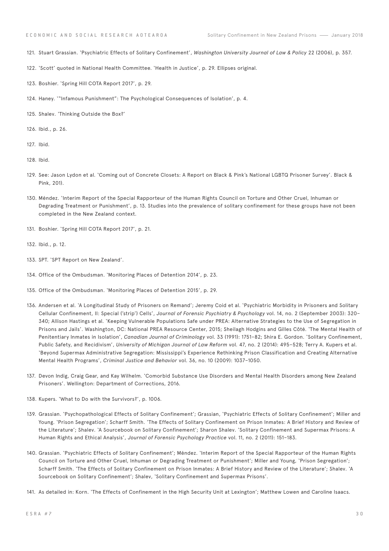- 121. Stuart Grassian. 'Psychiatric Effects of Solitary Confinement', *Washington University Journal of Law & Policy* 22 (2006), p. 357.
- 122. 'Scott' quoted in National Health Committee. 'Health in Justice', p. 29. Ellipses original.
- 123. Boshier. 'Spring Hill COTA Report 2017', p. 29.
- 124. Haney. '"Infamous Punishment": The Psychological Consequences of Isolation', p. 4.
- 125. Shalev. 'Thinking Outside the Box?'
- 126. Ibid., p. 26.
- 127. Ibid.
- 128. Ibid.
- 129. See: Jason Lydon et al. 'Coming out of Concrete Closets: A Report on Black & Pink's National LGBTQ Prisoner Survey'. Black & Pink, 201).
- 130. Méndez. 'Interim Report of the Special Rapporteur of the Human Rights Council on Torture and Other Cruel, Inhuman or Degrading Treatment or Punishment', p. 13. Studies into the prevalence of solitary confinement for these groups have not been completed in the New Zealand context.
- 131. Boshier. 'Spring Hill COTA Report 2017', p. 21.
- 132. Ibid., p. 12.
- 133. SPT. 'SPT Report on New Zealand'.
- 134. Office of the Ombudsman. 'Monitoring Places of Detention 2014', p. 23.
- 135. Office of the Ombudsman. 'Monitoring Places of Detention 2015', p. 29.
- 136. Andersen et al. 'A Longitudinal Study of Prisoners on Remand'; Jeremy Coid et al. 'Psychiatric Morbidity in Prisoners and Solitary Cellular Confinement, II: Special ('strip') Cells', *Journal of Forensic Psychiatry & Psychology* vol. 14, no. 2 (September 2003): 320– 340; Allison Hastings et al. 'Keeping Vulnerable Populations Safe under PREA: Alternative Strategies to the Use of Segregation in Prisons and Jails'. Washington, DC: National PREA Resource Center, 2015; Sheilagh Hodgins and Gilles Côté. 'The Mental Health of Penitentiary Inmates in Isolation', *Canadian Journal of Criminology* vol. 33 (1991): 1751–82; Shira E. Gordon. 'Solitary Confinement, Public Safety, and Recidivism', *University of Michigan Journal of Law Reform* vol. 47, no. 2 (2014): 495–528; Terry A. Kupers et al. 'Beyond Supermax Administrative Segregation: Mississippi's Experience Rethinking Prison Classification and Creating Alternative Mental Health Programs', *Criminal Justice and Behavior* vol. 36, no. 10 (2009): 1037–1050.
- 137. Devon Indig, Craig Gear, and Kay Wilhelm. 'Comorbid Substance Use Disorders and Mental Health Disorders among New Zealand Prisoners'. Wellington: Department of Corrections, 2016.
- 138. Kupers. 'What to Do with the Survivors?', p. 1006.
- 139. Grassian. 'Psychopathological Effects of Solitary Confinement'; Grassian, 'Psychiatric Effects of Solitary Confinement'; Miller and Young. 'Prison Segregation'; Scharff Smith. 'The Effects of Solitary Confinement on Prison Inmates: A Brief History and Review of the Literature'; Shalev. 'A Sourcebook on Solitary Confinement'; Sharon Shalev. 'Solitary Confinement and Supermax Prisons: A Human Rights and Ethical Analysis', *Journal of Forensic Psychology Practice* vol. 11, no. 2 (2011): 151–183.
- 140. Grassian. 'Psychiatric Effects of Solitary Confinement'; Méndez. 'Interim Report of the Special Rapporteur of the Human Rights Council on Torture and Other Cruel, Inhuman or Degrading Treatment or Punishment'; Miller and Young, 'Prison Segregation'; Scharff Smith. 'The Effects of Solitary Confinement on Prison Inmates: A Brief History and Review of the Literature'; Shalev. 'A Sourcebook on Solitary Confinement'; Shalev, 'Solitary Confinement and Supermax Prisons'.
- 141. As detailed in: Korn. 'The Effects of Confinement in the High Security Unit at Lexington'; Matthew Lowen and Caroline Isaacs.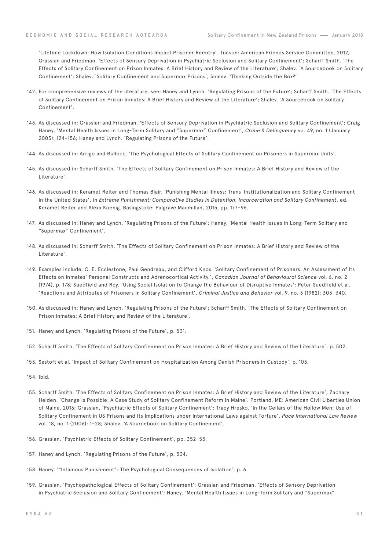'Lifetime Lockdown: How Isolation Conditions Impact Prisoner Reentry'. Tucson: American Friends Service Committee, 2012; Grassian and Friedman. 'Effects of Sensory Deprivation in Psychiatric Seclusion and Solitary Confinement'; Scharff Smith. 'The Effects of Solitary Confinement on Prison Inmates: A Brief History and Review of the Literature'; Shalev. 'A Sourcebook on Solitary Confinement'; Shalev. 'Solitary Confinement and Supermax Prisons'; Shalev. 'Thinking Outside the Box?'

- 142. For comprehensive reviews of the literature, see: Haney and Lynch. 'Regulating Prisons of the Future'; Scharff Smith. 'The Effects of Solitary Confinement on Prison Inmates: A Brief History and Review of the Literature'; Shalev. 'A Sourcebook on Solitary Confinement'.
- 143. As discussed in: Grassian and Friedman. 'Effects of Sensory Deprivation in Psychiatric Seclusion and Solitary Confinement'; Craig Haney. 'Mental Health Issues in Long-Term Solitary and "Supermax" Confinement', *Crime & Delinquency* vo. 49, no. 1 (January 2003): 124–156; Haney and Lynch. 'Regulating Prisons of the Future'.
- 144. As discussed in: Arrigo and Bullock, 'The Psychological Effects of Solitary Confinement on Prisoners in Supermax Units'.
- 145. As discussed in: Scharff Smith. 'The Effects of Solitary Confinement on Prison Inmates: A Brief History and Review of the Literature'.
- 146. As discussed in: Keramet Reiter and Thomas Blair. 'Punishing Mental Illness: Trans-Institutionalization and Solitary Confinement in the United States', in *Extreme Punishment: Comparative Studies in Detention, Incarceration and Solitary Confinement*, ed. Keramet Reiter and Alexa Koenig. Basingstoke: Palgrave Macmillan, 2015, pp. 177–96.
- 147. As discussed in: Haney and Lynch. 'Regulating Prisons of the Future'; Haney, 'Mental Health Issues in Long-Term Solitary and "Supermax" Confinement'.
- 148. As discussed in: Scharff Smith. 'The Effects of Solitary Confinement on Prison Inmates: A Brief History and Review of the Literature'.
- 149. Examples include: C. E. Ecclestone, Paul Gendreau, and Clifford Knox. 'Solitary Confinement of Prisoners: An Assessment of Its Effects on Inmates' Personal Constructs and Adrenocortical Activity.', *Canadian Journal of Behavioural Science* vol. 6, no. 2 (1974), p. 178; Suedfield and Roy. 'Using Social Isolation to Change the Behaviour of Disruptive Inmates'; Peter Suedfield et al. 'Reactions and Attributes of Prisoners in Solitary Confinement', *Criminal Justice and Behavior* vol. 9, no. 3 (1982): 303–340.
- 150. As discussed in: Haney and Lynch. 'Regulating Prisons of the Future'; Scharff Smith. 'The Effects of Solitary Confinement on Prison Inmates: A Brief History and Review of the Literature'.
- 151. Haney and Lynch. 'Regulating Prisons of the Future', p. 531.
- 152. Scharff Smith. 'The Effects of Solitary Confinement on Prison Inmates: A Brief History and Review of the Literature', p. 502.
- 153. Sestoft et al. 'Impact of Solitary Confinement on Hospitalization Among Danish Prisoners in Custody', p. 103.
- 154. Ibid.
- 155. Scharff Smith. 'The Effects of Solitary Confinement on Prison Inmates: A Brief History and Review of the Literature'; Zachary Heiden. 'Change Is Possible: A Case Study of Solitary Confinement Reform In Maine'. Portland, ME: American Civil Liberties Union of Maine, 2013; Grassian, 'Psychiatric Effects of Solitary Confinement'; Tracy Hresko. 'In the Cellars of the Hollow Men: Use of Solitary Confinement in US Prisons and Its Implications under International Laws against Torture', *Pace International Law Review* vol. 18, no. 1 (2006): 1–28; Shalev. 'A Sourcebook on Solitary Confinement'.
- 156. Grassian. 'Psychiatric Effects of Solitary Confinement', pp. 352–53.
- 157. Haney and Lynch. 'Regulating Prisons of the Future', p. 534.
- 158. Haney. '"Infamous Punishment": The Psychological Consequences of Isolation', p. 6.
- 159. Grassian. 'Psychopathological Effects of Solitary Confinement'; Grassian and Friedman. 'Effects of Sensory Deprivation in Psychiatric Seclusion and Solitary Confinement'; Haney. 'Mental Health Issues in Long-Term Solitary and "Supermax"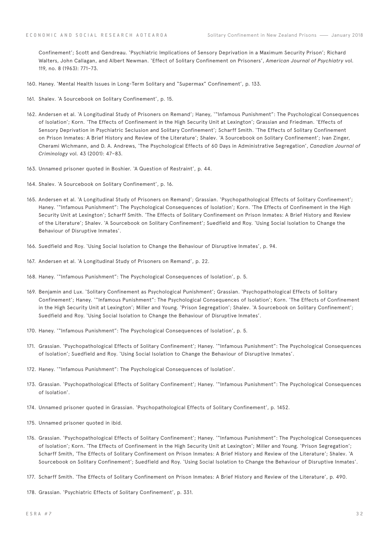Confinement'; Scott and Gendreau. 'Psychiatric Implications of Sensory Deprivation in a Maximum Security Prison'; Richard Walters, John Callagan, and Albert Newman. 'Effect of Solitary Confinement on Prisoners', *American Journal of Psychiatry* vol. 119, no. 8 (1963): 771–73.

- 160. Haney. 'Mental Health Issues in Long-Term Solitary and "Supermax" Confinement', p. 133.
- 161. Shalev. 'A Sourcebook on Solitary Confinement', p. 15.
- 162. Andersen et al. 'A Longitudinal Study of Prisoners on Remand'; Haney, '"Infamous Punishment": The Psychological Consequences of Isolation'; Korn. 'The Effects of Confinement in the High Security Unit at Lexington'; Grassian and Friedman. 'Effects of Sensory Deprivation in Psychiatric Seclusion and Solitary Confinement'; Scharff Smith. 'The Effects of Solitary Confinement on Prison Inmates: A Brief History and Review of the Literature'; Shalev. 'A Sourcebook on Solitary Confinement'; Ivan Zinger, Cherami Wichmann, and D. A. Andrews, 'The Psychological Effects of 60 Days in Administrative Segregation', *Canadian Journal of Criminology* vol. 43 (2001): 47–83.
- 163. Unnamed prisoner quoted in Boshier. 'A Question of Restraint', p. 44.
- 164. Shalev. 'A Sourcebook on Solitary Confinement', p. 16.
- 165. Andersen et al. 'A Longitudinal Study of Prisoners on Remand'; Grassian. 'Psychopathological Effects of Solitary Confinement'; Haney. '"Infamous Punishment": The Psychological Consequences of Isolation'; Korn. 'The Effects of Confinement in the High Security Unit at Lexington'; Scharff Smith. 'The Effects of Solitary Confinement on Prison Inmates: A Brief History and Review of the Literature'; Shalev. 'A Sourcebook on Solitary Confinement'; Suedfield and Roy. 'Using Social Isolation to Change the Behaviour of Disruptive Inmates'.
- 166. Suedfield and Roy. 'Using Social Isolation to Change the Behaviour of Disruptive Inmates', p. 94.
- 167. Andersen et al. 'A Longitudinal Study of Prisoners on Remand', p. 22.
- 168. Haney. '"Infamous Punishment": The Psychological Consequences of Isolation', p. 5.
- 169. Benjamin and Lux. 'Solitary Confinement as Psychological Punishment'; Grassian. 'Psychopathological Effects of Solitary Confinement'; Haney. '"Infamous Punishment": The Psychological Consequences of Isolation'; Korn. 'The Effects of Confinement in the High Security Unit at Lexington'; Miller and Young. 'Prison Segregation'; Shalev. 'A Sourcebook on Solitary Confinement'; Suedfield and Roy. 'Using Social Isolation to Change the Behaviour of Disruptive Inmates'.
- 170. Haney. '"Infamous Punishment": The Psychological Consequences of Isolation', p. 5.
- 171. Grassian. 'Psychopathological Effects of Solitary Confinement'; Haney. '"Infamous Punishment": The Psychological Consequences of Isolation'; Suedfield and Roy. 'Using Social Isolation to Change the Behaviour of Disruptive Inmates'.
- 172. Haney. '"Infamous Punishment": The Psychological Consequences of Isolation'.
- 173. Grassian. 'Psychopathological Effects of Solitary Confinement'; Haney. '"Infamous Punishment": The Psychological Consequences of Isolation'.
- 174. Unnamed prisoner quoted in Grassian. 'Psychopathological Effects of Solitary Confinement', p. 1452.
- 175. Unnamed prisoner quoted in ibid.
- 176. Grassian. 'Psychopathological Effects of Solitary Confinement'; Haney. '"Infamous Punishment": The Psychological Consequences of Isolation'; Korn. 'The Effects of Confinement in the High Security Unit at Lexington'; Miller and Young. 'Prison Segregation'; Scharff Smith, 'The Effects of Solitary Confinement on Prison Inmates: A Brief History and Review of the Literature'; Shalev. 'A Sourcebook on Solitary Confinement'; Suedfield and Roy. 'Using Social Isolation to Change the Behaviour of Disruptive Inmates'.
- 177. Scharff Smith. 'The Effects of Solitary Confinement on Prison Inmates: A Brief History and Review of the Literature', p. 490.
- 178. Grassian. 'Psychiatric Effects of Solitary Confinement', p. 331.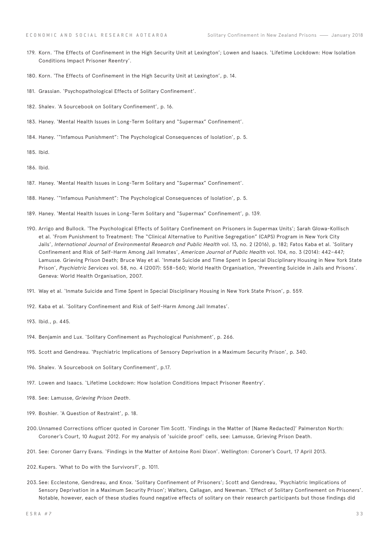- 179. Korn. 'The Effects of Confinement in the High Security Unit at Lexington'; Lowen and Isaacs. 'Lifetime Lockdown: How Isolation Conditions Impact Prisoner Reentry'.
- 180. Korn. 'The Effects of Confinement in the High Security Unit at Lexington', p. 14.
- 181. Grassian. 'Psychopathological Effects of Solitary Confinement'.
- 182. Shalev. 'A Sourcebook on Solitary Confinement', p. 16.
- 183. Haney. 'Mental Health Issues in Long-Term Solitary and "Supermax" Confinement'.
- 184. Haney. '"Infamous Punishment": The Psychological Consequences of Isolation', p. 5.
- 185. Ibid.
- 186. Ibid.
- 187. Haney. 'Mental Health Issues in Long-Term Solitary and "Supermax" Confinement'.
- 188. Haney. '"Infamous Punishment": The Psychological Consequences of Isolation', p. 5.
- 189. Haney. 'Mental Health Issues in Long-Term Solitary and "Supermax" Confinement', p. 139.
- 190. Arrigo and Bullock. 'The Psychological Effects of Solitary Confinement on Prisoners in Supermax Units'; Sarah Glowa-Kollisch et al. 'From Punishment to Treatment: The "Clinical Alternative to Punitive Segregation" (CAPS) Program in New York City Jails', *International Journal of Environmental Research and Public Health* vol. 13, no. 2 (2016), p. 182; Fatos Kaba et al. 'Solitary Confinement and Risk of Self-Harm Among Jail Inmates', *American Journal of Public Health* vol. 104, no. 3 (2014): 442–447; Lamusse. Grieving Prison Death; Bruce Way et al. 'Inmate Suicide and Time Spent in Special Disciplinary Housing in New York State Prison', *Psychiatric Services* vol. 58, no. 4 (2007): 558–560; World Health Organisation, 'Preventing Suicide in Jails and Prisons'. Geneva: World Health Organisation, 2007.
- 191. Way et al. 'Inmate Suicide and Time Spent in Special Disciplinary Housing in New York State Prison', p. 559.
- 192. Kaba et al. 'Solitary Confinement and Risk of Self-Harm Among Jail Inmates'.
- 193. Ibid., p. 445.
- 194. Benjamin and Lux. 'Solitary Confinement as Psychological Punishment', p. 266.
- 195. Scott and Gendreau. 'Psychiatric Implications of Sensory Deprivation in a Maximum Security Prison', p. 340.
- 196. Shalev. 'A Sourcebook on Solitary Confinement', p.17.
- 197. Lowen and Isaacs. 'Lifetime Lockdown: How Isolation Conditions Impact Prisoner Reentry'.
- 198. See: Lamusse, *Grieving Prison Death*.
- 199. Boshier. 'A Question of Restraint', p. 18.
- 200.Unnamed Corrections officer quoted in Coroner Tim Scott. 'Findings in the Matter of [Name Redacted]' Palmerston North: Coroner's Court, 10 August 2012. For my analysis of 'suicide proof' cells, see: Lamusse, Grieving Prison Death.
- 201. See: Coroner Garry Evans. 'Findings in the Matter of Antoine Roni Dixon'. Wellington: Coroner's Court, 17 April 2013.
- 202. Kupers. 'What to Do with the Survivors?', p. 1011.
- 203. See: Ecclestone, Gendreau, and Knox. 'Solitary Confinement of Prisoners'; Scott and Gendreau, 'Psychiatric Implications of Sensory Deprivation in a Maximum Security Prison'; Walters, Callagan, and Newman. 'Effect of Solitary Confinement on Prisoners'. Notable, however, each of these studies found negative effects of solitary on their research participants but those findings did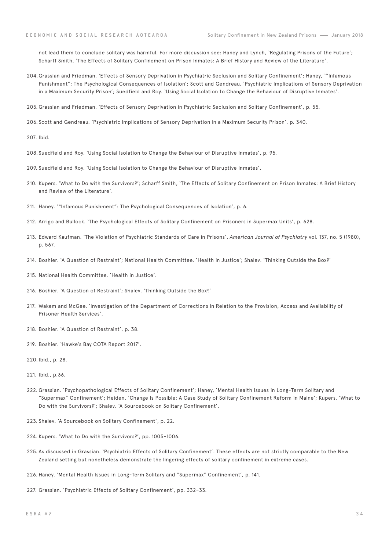not lead them to conclude solitary was harmful. For more discussion see: Haney and Lynch, 'Regulating Prisons of the Future'; Scharff Smith, 'The Effects of Solitary Confinement on Prison Inmates: A Brief History and Review of the Literature'.

204.Grassian and Friedman. 'Effects of Sensory Deprivation in Psychiatric Seclusion and Solitary Confinement'; Haney, '"Infamous Punishment": The Psychological Consequences of Isolation'; Scott and Gendreau. 'Psychiatric Implications of Sensory Deprivation in a Maximum Security Prison'; Suedfield and Roy. 'Using Social Isolation to Change the Behaviour of Disruptive Inmates'.

205. Grassian and Friedman. 'Effects of Sensory Deprivation in Psychiatric Seclusion and Solitary Confinement', p. 55.

206. Scott and Gendreau. 'Psychiatric Implications of Sensory Deprivation in a Maximum Security Prison', p. 340.

207. Ibid.

- 208. Suedfield and Roy. 'Using Social Isolation to Change the Behaviour of Disruptive Inmates', p. 95.
- 209. Suedfield and Roy. 'Using Social Isolation to Change the Behaviour of Disruptive Inmates'.
- 210. Kupers. 'What to Do with the Survivors?'; Scharff Smith, 'The Effects of Solitary Confinement on Prison Inmates: A Brief History and Review of the Literature'.
- 211. Haney. '"Infamous Punishment": The Psychological Consequences of Isolation', p. 6.
- 212. Arrigo and Bullock. 'The Psychological Effects of Solitary Confinement on Prisoners in Supermax Units', p. 628.
- 213. Edward Kaufman. 'The Violation of Psychiatric Standards of Care in Prisons', *American Journal of Psychiatry* vol. 137, no. 5 (1980), p. 567.
- 214. Boshier. 'A Question of Restraint'; National Health Committee. 'Health in Justice'; Shalev. 'Thinking Outside the Box?'
- 215. National Health Committee. 'Health in Justice'.
- 216. Boshier. 'A Question of Restraint'; Shalev. 'Thinking Outside the Box?'
- 217. Wakem and McGee. 'Investigation of the Department of Corrections in Relation to the Provision, Access and Availability of Prisoner Health Services'.
- 218. Boshier. 'A Question of Restraint', p. 38.
- 219. Boshier. 'Hawke's Bay COTA Report 2017'.
- 220. Ibid., p. 28.
- 221. Ibid., p.36.
- 222. Grassian. 'Psychopathological Effects of Solitary Confinement'; Haney, 'Mental Health Issues in Long-Term Solitary and "Supermax" Confinement'; Heiden. 'Change Is Possible: A Case Study of Solitary Confinement Reform in Maine'; Kupers. 'What to Do with the Survivors?'; Shalev. 'A Sourcebook on Solitary Confinement'.
- 223. Shalev. 'A Sourcebook on Solitary Confinement', p. 22.
- 224. Kupers. 'What to Do with the Survivors?', pp. 1005–1006.
- 225. As discussed in Grassian. 'Psychiatric Effects of Solitary Confinement'. These effects are not strictly comparable to the New Zealand setting but nonetheless demonstrate the lingering effects of solitary confinement in extreme cases.
- 226. Haney. 'Mental Health Issues in Long-Term Solitary and "Supermax" Confinement', p. 141.
- 227. Grassian. 'Psychiatric Effects of Solitary Confinement', pp. 332–33.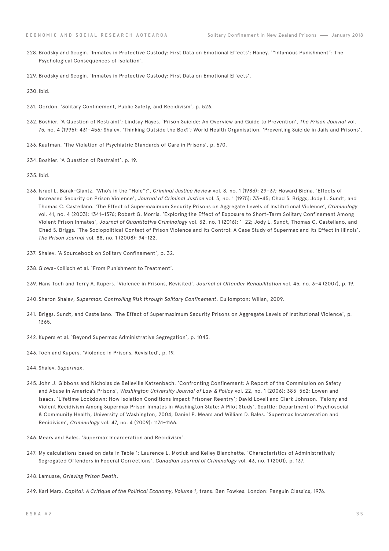- 228. Brodsky and Scogin. 'Inmates in Protective Custody: First Data on Emotional Effects'; Haney. '"Infamous Punishment": The Psychological Consequences of Isolation'.
- 229. Brodsky and Scogin. 'Inmates in Protective Custody: First Data on Emotional Effects'.

230.Ibid.

- 231. Gordon. 'Solitary Confinement, Public Safety, and Recidivism', p. 526.
- 232. Boshier. 'A Question of Restraint'; Lindsay Hayes. 'Prison Suicide: An Overview and Guide to Prevention', *The Prison Journal* vol. 75, no. 4 (1995): 431–456; Shalev. 'Thinking Outside the Box?'; World Health Organisation. 'Preventing Suicide in Jails and Prisons'.
- 233. Kaufman. 'The Violation of Psychiatric Standards of Care in Prisons', p. 570.
- 234. Boshier. 'A Question of Restraint', p. 19.
- 235. Ibid.
- 236. Israel L. Barak-Glantz. 'Who's in the "Hole"?', *Criminal Justice Review* vol. 8, no. 1 (1983): 29–37; Howard Bidna. 'Effects of Increased Security on Prison Violence', *Journal of Criminal Justice* vol. 3, no. 1 (1975): 33–45; Chad S. Briggs, Jody L. Sundt, and Thomas C. Castellano. 'The Effect of Supermaximum Security Prisons on Aggregate Levels of Institutional Violence', *Criminology* vol. 41, no. 4 (2003): 1341–1376; Robert G. Morris. 'Exploring the Effect of Exposure to Short-Term Solitary Confinement Among Violent Prison Inmates', *Journal of Quantitative Criminology* vol. 32, no. 1 (2016): 1–22; Jody L. Sundt, Thomas C. Castellano, and Chad S. Briggs. 'The Sociopolitical Context of Prison Violence and Its Control: A Case Study of Supermax and Its Effect in Illinois', *The Prison Journal* vol. 88, no. 1 (2008): 94–122.
- 237. Shalev. 'A Sourcebook on Solitary Confinement', p. 32.
- 238. Glowa-Kollisch et al. 'From Punishment to Treatment'.
- 239. Hans Toch and Terry A. Kupers. 'Violence in Prisons, Revisited', *Journal of Offender Rehabilitation* vol. 45, no. 3–4 (2007), p. 19.
- 240. Sharon Shalev, *Supermax: Controlling Risk through Solitary Confinement*. Cullompton: Willan, 2009.
- 241. Briggs, Sundt, and Castellano. 'The Effect of Supermaximum Security Prisons on Aggregate Levels of Institutional Violence', p. 1365.
- 242. Kupers et al. 'Beyond Supermax Administrative Segregation', p. 1043.
- 243. Toch and Kupers. 'Violence in Prisons, Revisited', p. 19.
- 244. Shalev. *Supermax*.
- 245. John J. Gibbons and Nicholas de Belleville Katzenbach. 'Confronting Confinement: A Report of the Commission on Safety and Abuse in America's Prisons', *Washington University Journal of Law & Policy* vol. 22, no. 1 (2006): 385–562; Lowen and Isaacs. 'Lifetime Lockdown: How Isolation Conditions Impact Prisoner Reentry'; David Lovell and Clark Johnson. 'Felony and Violent Recidivism Among Supermax Prison Inmates in Washington State: A Pilot Study'. Seattle: Department of Psychosocial & Community Health, University of Washington, 2004; Daniel P. Mears and William D. Bales. 'Supermax Incarceration and Recidivism', *Criminology* vol. 47, no. 4 (2009): 1131–1166.
- 246. Mears and Bales. 'Supermax Incarceration and Recidivism'.
- 247. My calculations based on data in Table 1: Laurence L. Motiuk and Kelley Blanchette. 'Characteristics of Administratively Segregated Offenders in Federal Corrections', *Canadian Journal of Criminology* vol. 43, no. 1 (2001), p. 137.
- 248. Lamusse, *Grieving Prison Death*.
- 249. Karl Marx, *Capital: A Critique of the Political Economy, Volume 1*, trans. Ben Fowkes. London: Penguin Classics, 1976.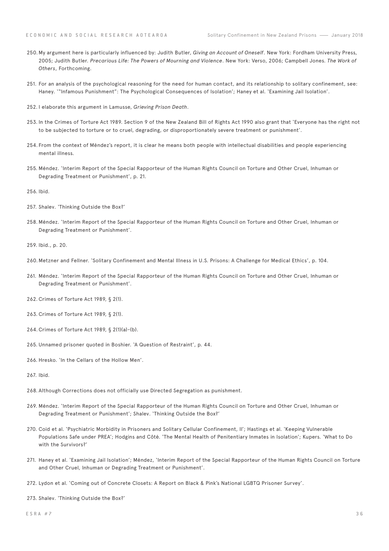- 250.My argument here is particularly influenced by: Judith Butler, *Giving an Account of Oneself*. New York: Fordham University Press, 2005; Judith Butler. *Precarious Life: The Powers of Mourning and Violence*. New York: Verso, 2006; Campbell Jones. *The Work of Others*, Forthcoming.
- 251. For an analysis of the psychological reasoning for the need for human contact, and its relationship to solitary confinement, see: Haney. '"Infamous Punishment": The Psychological Consequences of Isolation'; Haney et al. 'Examining Jail Isolation'.
- 252. I elaborate this argument in Lamusse, *Grieving Prison Death*.
- 253. In the Crimes of Torture Act 1989. Section 9 of the New Zealand Bill of Rights Act 1990 also grant that 'Everyone has the right not to be subjected to torture or to cruel, degrading, or disproportionately severe treatment or punishment'.
- 254. From the context of Méndez's report, it is clear he means both people with intellectual disabilities and people experiencing mental illness.
- 255. Méndez. 'Interim Report of the Special Rapporteur of the Human Rights Council on Torture and Other Cruel, Inhuman or Degrading Treatment or Punishment', p. 21.
- 256. Ibid.
- 257. Shalev. 'Thinking Outside the Box?'
- 258. Méndez. 'Interim Report of the Special Rapporteur of the Human Rights Council on Torture and Other Cruel, Inhuman or Degrading Treatment or Punishment'.
- 259. Ibid., p. 20.
- 260.Metzner and Fellner. 'Solitary Confinement and Mental Illness in U.S. Prisons: A Challenge for Medical Ethics', p. 104.
- 261. Méndez. 'Interim Report of the Special Rapporteur of the Human Rights Council on Torture and Other Cruel, Inhuman or Degrading Treatment or Punishment'.
- 262. Crimes of Torture Act 1989, § 2(1).
- 263. Crimes of Torture Act 1989, § 2(1).
- 264.Crimes of Torture Act 1989, § 2(1)(a)-(b).
- 265. Unnamed prisoner quoted in Boshier. 'A Question of Restraint', p. 44.
- 266. Hresko. 'In the Cellars of the Hollow Men'.
- 267. Ibid.
- 268. Although Corrections does not officially use Directed Segregation as punishment.
- 269. Méndez. 'Interim Report of the Special Rapporteur of the Human Rights Council on Torture and Other Cruel, Inhuman or Degrading Treatment or Punishment'; Shalev. 'Thinking Outside the Box?'
- 270. Coid et al. 'Psychiatric Morbidity in Prisoners and Solitary Cellular Confinement, II'; Hastings et al. 'Keeping Vulnerable Populations Safe under PREA'; Hodgins and Côté. 'The Mental Health of Penitentiary Inmates in Isolation'; Kupers. 'What to Do with the Survivors?'
- 271. Haney et al. 'Examining Jail Isolation'; Méndez, 'Interim Report of the Special Rapporteur of the Human Rights Council on Torture and Other Cruel, Inhuman or Degrading Treatment or Punishment'.
- 272. Lydon et al. 'Coming out of Concrete Closets: A Report on Black & Pink's National LGBTQ Prisoner Survey'.
- 273. Shalev. 'Thinking Outside the Box?'